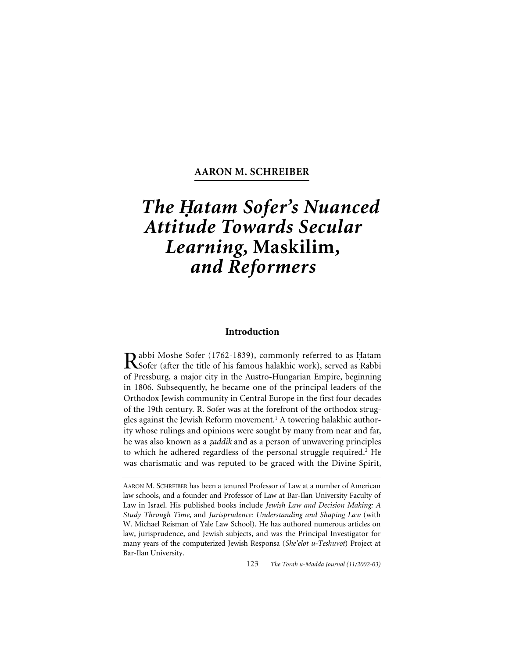# **AARON M. SCHREIBER**

# *The Hatam Sofer's Nuanced Attitude Towards Secular Learning,* **Maskilim***, and Reformers*

#### **Introduction**

Rabbi Moshe Sofer (1762-1839), commonly referred to as Hatam<br>Sofer (after the title of his famous halakhic work), served as Rabbi of Pressburg, a major city in the Austro-Hungarian Empire, beginning in 1806. Subsequently, he became one of the principal leaders of the Orthodox Jewish community in Central Europe in the first four decades of the 19th century. R. Sofer was at the forefront of the orthodox struggles against the Jewish Reform movement.<sup>1</sup> A towering halakhic authority whose rulings and opinions were sought by many from near and far, he was also known as a *zaddik* and as a person of unwavering principles to which he adhered regardless of the personal struggle required.<sup>2</sup> He was charismatic and was reputed to be graced with the Divine Spirit,

123 *The Torah u-Madda Journal (11/2002-03)*

AARON M. SCHREIBER has been a tenured Professor of Law at a number of American law schools, and a founder and Professor of Law at Bar-Ilan University Faculty of Law in Israel. His published books include *Jewish Law and Decision Making: A Study Through Time*, and *Jurisprudence: Understanding and Shaping Law* (with W. Michael Reisman of Yale Law School). He has authored numerous articles on law, jurisprudence, and Jewish subjects, and was the Principal Investigator for many years of the computerized Jewish Responsa (*She'elot u-Teshuvot*) Project at Bar-Ilan University.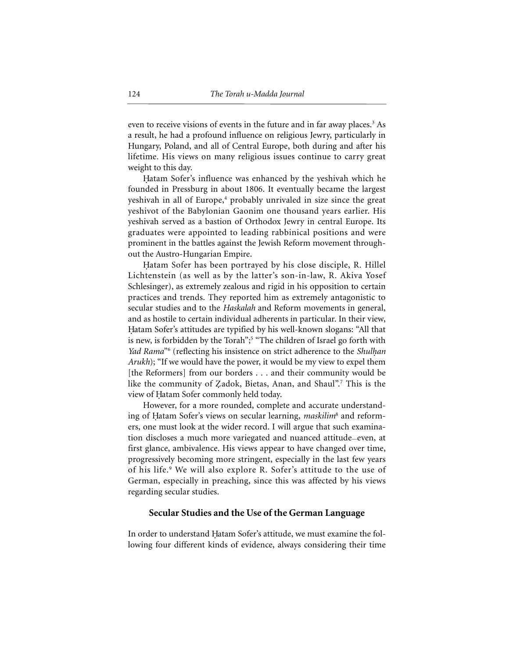even to receive visions of events in the future and in far away places.<sup>3</sup> As a result, he had a profound influence on religious Jewry, particularly in Hungary, Poland, and all of Central Europe, both during and after his lifetime. His views on many religious issues continue to carry great weight to this day.

Hatam Sofer's influence was enhanced by the yeshivah which he founded in Pressburg in about 1806. It eventually became the largest yeshivah in all of Europe,<sup>4</sup> probably unrivaled in size since the great yeshivot of the Babylonian Gaonim one thousand years earlier. His yeshivah served as a bastion of Orthodox Jewry in central Europe. Its graduates were appointed to leading rabbinical positions and were prominent in the battles against the Jewish Reform movement throughout the Austro-Hungarian Empire.

Hatam Sofer has been portrayed by his close disciple, R. Hillel Lichtenstein (as well as by the latter's son-in-law, R. Akiva Yosef Schlesinger), as extremely zealous and rigid in his opposition to certain practices and trends. They reported him as extremely antagonistic to secular studies and to the *Haskalah* and Reform movements in general, and as hostile to certain individual adherents in particular. In their view, Hatam Sofer's attitudes are typified by his well-known slogans: "All that is new, is forbidden by the Torah";<sup>5</sup> "The children of Israel go forth with *Yad Rama*<sup>"6</sup> (reflecting his insistence on strict adherence to the *Shulhan Arukh*); "If we would have the power, it would be my view to expel them [the Reformers] from our borders . . . and their community would be like the community of Zadok, Bietas, Anan, and Shaul".<sup>7</sup> This is the view of Hatam Sofer commonly held today.

However, for a more rounded, complete and accurate understanding of Hatam Sofer's views on secular learning, *maskilim<sup>8</sup>* and reformers, one must look at the wider record. I will argue that such examination discloses a much more variegated and nuanced attitude—even, at first glance, ambivalence. His views appear to have changed over time, progressively becoming more stringent, especially in the last few years of his life.<sup>9</sup> We will also explore R. Sofer's attitude to the use of German, especially in preaching, since this was affected by his views regarding secular studies.

#### **Secular Studies and the Use of the German Language**

In order to understand Hatam Sofer's attitude, we must examine the following four different kinds of evidence, always considering their time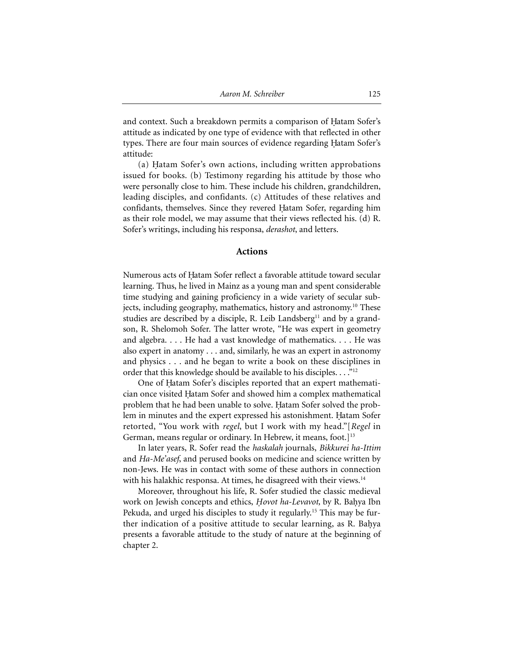and context. Such a breakdown permits a comparison of Hatam Sofer's attitude as indicated by one type of evidence with that reflected in other types. There are four main sources of evidence regarding Hatam Sofer's attitude:

(a) Hatam Sofer's own actions, including written approbations issued for books. (b) Testimony regarding his attitude by those who were personally close to him. These include his children, grandchildren, leading disciples, and confidants. (c) Attitudes of these relatives and confidants, themselves. Since they revered Hatam Sofer, regarding him as their role model, we may assume that their views reflected his. (d) R. Sofer's writings, including his responsa, *derashot*, and letters.

# **Actions**

Numerous acts of Hatam Sofer reflect a favorable attitude toward secular learning. Thus, he lived in Mainz as a young man and spent considerable time studying and gaining proficiency in a wide variety of secular subjects, including geography, mathematics, history and astronomy.10 These studies are described by a disciple, R. Leib Landsberg<sup>11</sup> and by a grandson, R. Shelomoh Sofer. The latter wrote, "He was expert in geometry and algebra. . . . He had a vast knowledge of mathematics. . . . He was also expert in anatomy . . . and, similarly, he was an expert in astronomy and physics . . . and he began to write a book on these disciplines in order that this knowledge should be available to his disciples. . . ."<sup>12</sup>

One of Hatam Sofer's disciples reported that an expert mathematician once visited Hatam Sofer and showed him a complex mathematical problem that he had been unable to solve. Hatam Sofer solved the problem in minutes and the expert expressed his astonishment. Hatam Sofer retorted, "You work with *regel*, but I work with my head."[*Regel* in German, means regular or ordinary. In Hebrew, it means, foot.]<sup>13</sup>

In later years, R. Sofer read the *haskalah* journals, *Bikkurei ha-Ittim* and *Ha-Me'asef*, and perused books on medicine and science written by non-Jews. He was in contact with some of these authors in connection with his halakhic responsa. At times, he disagreed with their views.<sup>14</sup>

Moreover, throughout his life, R. Sofer studied the classic medieval work on Jewish concepts and ethics, *Hovot ha-Levavot*, by R. Bahya Ibn Pekuda, and urged his disciples to study it regularly.15 This may be further indication of a positive attitude to secular learning, as R. Bahya presents a favorable attitude to the study of nature at the beginning of chapter 2.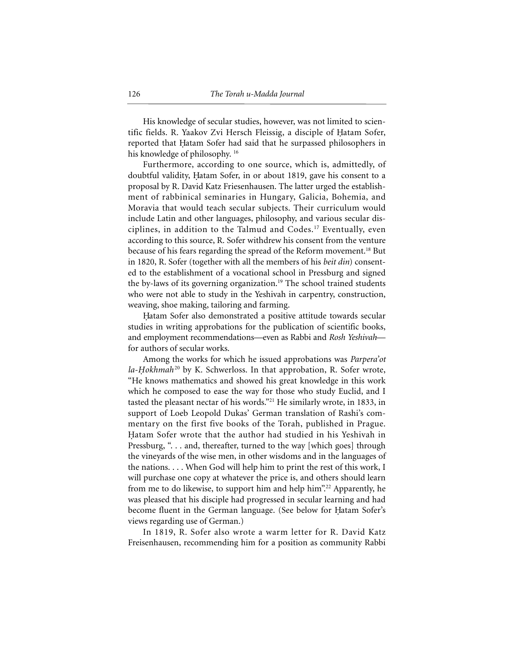His knowledge of secular studies, however, was not limited to scientific fields. R. Yaakov Zvi Hersch Fleissig, a disciple of Hatam Sofer, reported that Hatam Sofer had said that he surpassed philosophers in his knowledge of philosophy. 16

Furthermore, according to one source, which is, admittedly, of doubtful validity, Hatam Sofer, in or about 1819, gave his consent to a proposal by R. David Katz Friesenhausen. The latter urged the establishment of rabbinical seminaries in Hungary, Galicia, Bohemia, and Moravia that would teach secular subjects. Their curriculum would include Latin and other languages, philosophy, and various secular disciplines, in addition to the Talmud and Codes.17 Eventually, even according to this source, R. Sofer withdrew his consent from the venture because of his fears regarding the spread of the Reform movement.18 But in 1820, R. Sofer (together with all the members of his *beit din*) consented to the establishment of a vocational school in Pressburg and signed the by-laws of its governing organization.<sup>19</sup> The school trained students who were not able to study in the Yeshivah in carpentry, construction, weaving, shoe making, tailoring and farming.

Hatam Sofer also demonstrated a positive attitude towards secular studies in writing approbations for the publication of scientific books, and employment recommendations—even as Rabbi and *Rosh Yeshivah* for authors of secular works.

Among the works for which he issued approbations was *Parpera'ot la-Hokhmah<sup>20</sup>* by K. Schwerloss. In that approbation, R. Sofer wrote, "He knows mathematics and showed his great knowledge in this work which he composed to ease the way for those who study Euclid, and I tasted the pleasant nectar of his words."21 He similarly wrote, in 1833, in support of Loeb Leopold Dukas' German translation of Rashi's commentary on the first five books of the Torah, published in Prague. Hatam Sofer wrote that the author had studied in his Yeshivah in Pressburg, "... and, thereafter, turned to the way [which goes] through the vineyards of the wise men, in other wisdoms and in the languages of the nations. . . . When God will help him to print the rest of this work, I will purchase one copy at whatever the price is, and others should learn from me to do likewise, to support him and help him".22 Apparently, he was pleased that his disciple had progressed in secular learning and had become fluent in the German language. (See below for Hatam Sofer's views regarding use of German.)

In 1819, R. Sofer also wrote a warm letter for R. David Katz Freisenhausen, recommending him for a position as community Rabbi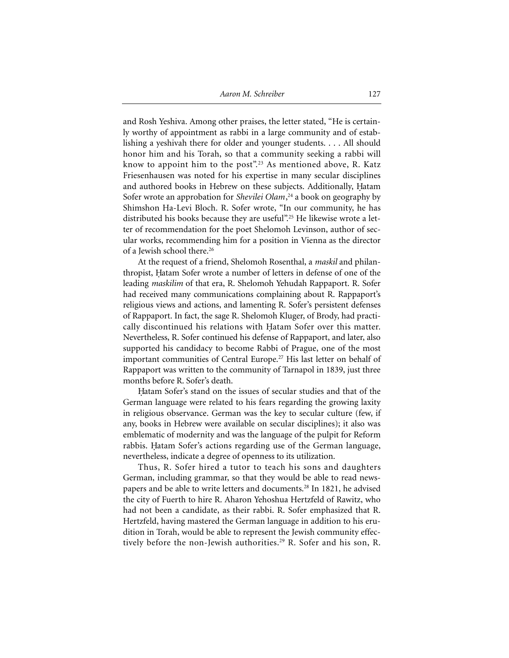and Rosh Yeshiva. Among other praises, the letter stated, "He is certainly worthy of appointment as rabbi in a large community and of establishing a yeshivah there for older and younger students. . . . All should honor him and his Torah, so that a community seeking a rabbi will know to appoint him to the post".<sup>23</sup> As mentioned above, R. Katz Friesenhausen was noted for his expertise in many secular disciplines and authored books in Hebrew on these subjects. Additionally, Hatam Sofer wrote an approbation for *Shevilei Olam*, <sup>24</sup> a book on geography by Shimshon Ha-Levi Bloch. R. Sofer wrote, "In our community, he has distributed his books because they are useful".25 He likewise wrote a letter of recommendation for the poet Shelomoh Levinson, author of secular works, recommending him for a position in Vienna as the director of a Jewish school there.<sup>26</sup>

At the request of a friend, Shelomoh Rosenthal, a *maskil* and philanthropist, Hatam Sofer wrote a number of letters in defense of one of the leading *maskilim* of that era, R. Shelomoh Yehudah Rappaport. R. Sofer had received many communications complaining about R. Rappaport's religious views and actions, and lamenting R. Sofer's persistent defenses of Rappaport. In fact, the sage R. Shelomoh Kluger, of Brody, had practically discontinued his relations with Hatam Sofer over this matter. Nevertheless, R. Sofer continued his defense of Rappaport, and later, also supported his candidacy to become Rabbi of Prague, one of the most important communities of Central Europe.<sup>27</sup> His last letter on behalf of Rappaport was written to the community of Tarnapol in 1839, just three months before R. Sofer's death.

Hatam Sofer's stand on the issues of secular studies and that of the German language were related to his fears regarding the growing laxity in religious observance. German was the key to secular culture (few, if any, books in Hebrew were available on secular disciplines); it also was emblematic of modernity and was the language of the pulpit for Reform rabbis. Hatam Sofer's actions regarding use of the German language, nevertheless, indicate a degree of openness to its utilization.

Thus, R. Sofer hired a tutor to teach his sons and daughters German, including grammar, so that they would be able to read newspapers and be able to write letters and documents.28 In 1821, he advised the city of Fuerth to hire R. Aharon Yehoshua Hertzfeld of Rawitz, who had not been a candidate, as their rabbi. R. Sofer emphasized that R. Hertzfeld, having mastered the German language in addition to his erudition in Torah, would be able to represent the Jewish community effectively before the non-Jewish authorities.<sup>29</sup> R. Sofer and his son, R.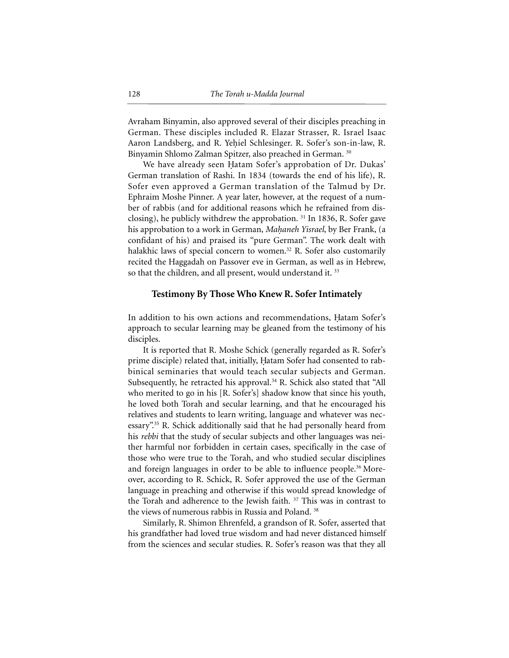Avraham Binyamin, also approved several of their disciples preaching in German. These disciples included R. Elazar Strasser, R. Israel Isaac Aaron Landsberg, and R. Yehiel Schlesinger. R. Sofer's son-in-law, R. Binyamin Shlomo Zalman Spitzer, also preached in German. 30

We have already seen Hatam Sofer's approbation of Dr. Dukas' German translation of Rashi. In 1834 (towards the end of his life), R. Sofer even approved a German translation of the Talmud by Dr. Ephraim Moshe Pinner. A year later, however, at the request of a number of rabbis (and for additional reasons which he refrained from disclosing), he publicly withdrew the approbation. 31 In 1836, R. Sofer gave his approbation to a work in German, *Mahaneh Yisrael*, by Ber Frank, (a confidant of his) and praised its "pure German". The work dealt with halakhic laws of special concern to women.<sup>32</sup> R. Sofer also customarily recited the Haggadah on Passover eve in German, as well as in Hebrew, so that the children, and all present, would understand it.<sup>33</sup>

#### **Testimony By Those Who Knew R. Sofer Intimately**

In addition to his own actions and recommendations, Hatam Sofer's approach to secular learning may be gleaned from the testimony of his disciples.

It is reported that R. Moshe Schick (generally regarded as R. Sofer's prime disciple) related that, initially, Hatam Sofer had consented to rabbinical seminaries that would teach secular subjects and German. Subsequently, he retracted his approval.<sup>34</sup> R. Schick also stated that "All who merited to go in his [R. Sofer's] shadow know that since his youth, he loved both Torah and secular learning, and that he encouraged his relatives and students to learn writing, language and whatever was necessary".35 R. Schick additionally said that he had personally heard from his *rebbi* that the study of secular subjects and other languages was neither harmful nor forbidden in certain cases, specifically in the case of those who were true to the Torah, and who studied secular disciplines and foreign languages in order to be able to influence people.<sup>36</sup> Moreover, according to R. Schick, R. Sofer approved the use of the German language in preaching and otherwise if this would spread knowledge of the Torah and adherence to the Jewish faith.<sup>37</sup> This was in contrast to the views of numerous rabbis in Russia and Poland. 38

Similarly, R. Shimon Ehrenfeld, a grandson of R. Sofer, asserted that his grandfather had loved true wisdom and had never distanced himself from the sciences and secular studies. R. Sofer's reason was that they all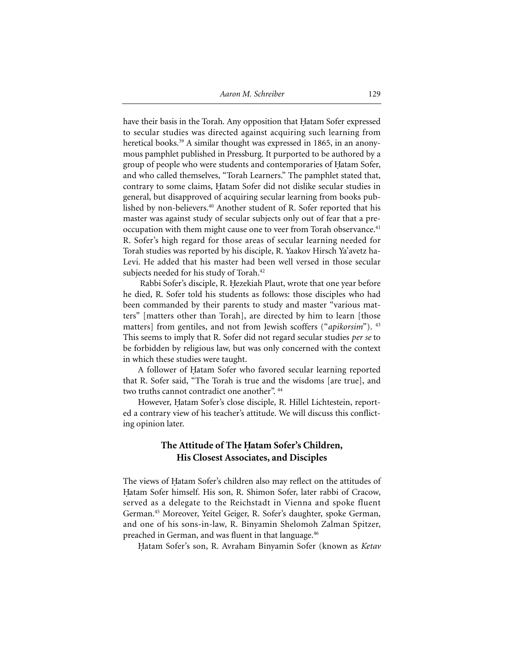have their basis in the Torah. Any opposition that Hatam Sofer expressed to secular studies was directed against acquiring such learning from heretical books.<sup>39</sup> A similar thought was expressed in 1865, in an anonymous pamphlet published in Pressburg. It purported to be authored by a group of people who were students and contemporaries of Hatam Sofer, and who called themselves, "Torah Learners." The pamphlet stated that, contrary to some claims, Hatam Sofer did not dislike secular studies in general, but disapproved of acquiring secular learning from books published by non-believers.<sup>40</sup> Another student of R. Sofer reported that his master was against study of secular subjects only out of fear that a preoccupation with them might cause one to veer from Torah observance.<sup>41</sup> R. Sofer's high regard for those areas of secular learning needed for Torah studies was reported by his disciple, R. Yaakov Hirsch Ya'avetz ha-Levi. He added that his master had been well versed in those secular subjects needed for his study of Torah.<sup>42</sup>

Rabbi Sofer's disciple, R. Hezekiah Plaut, wrote that one year before he died, R. Sofer told his students as follows: those disciples who had been commanded by their parents to study and master "various matters" [matters other than Torah], are directed by him to learn [those matters] from gentiles, and not from Jewish scoffers ("*apikorsim*"). 43 This seems to imply that R. Sofer did not regard secular studies *per se* to be forbidden by religious law, but was only concerned with the context in which these studies were taught.

A follower of Hatam Sofer who favored secular learning reported that R. Sofer said, "The Torah is true and the wisdoms [are true], and two truths cannot contradict one another".  $44$ 

However, Hatam Sofer's close disciple, R. Hillel Lichtestein, reported a contrary view of his teacher's attitude. We will discuss this conflicting opinion later.

# **The Attitude of The Hatam Sofer's Children, His Closest Associates, and Disciples**

The views of Hatam Sofer's children also may reflect on the attitudes of Hatam Sofer himself. His son, R. Shimon Sofer, later rabbi of Cracow, served as a delegate to the Reichstadt in Vienna and spoke fluent German.45 Moreover, Yeitel Geiger, R. Sofer's daughter, spoke German, and one of his sons-in-law, R. Binyamin Shelomoh Zalman Spitzer, preached in German, and was fluent in that language.<sup>46</sup>

Hatam Sofer's son, R. Avraham Binyamin Sofer (known as *Ketav*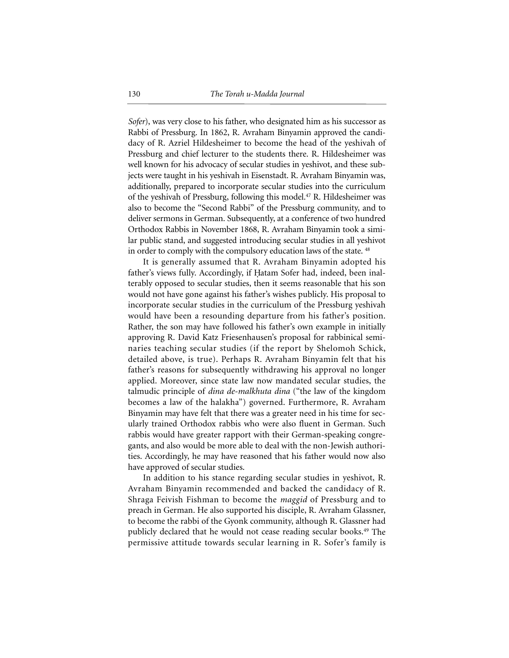*Sofer*), was very close to his father, who designated him as his successor as Rabbi of Pressburg. In 1862, R. Avraham Binyamin approved the candidacy of R. Azriel Hildesheimer to become the head of the yeshivah of Pressburg and chief lecturer to the students there. R. Hildesheimer was well known for his advocacy of secular studies in yeshivot, and these subjects were taught in his yeshivah in Eisenstadt. R. Avraham Binyamin was, additionally, prepared to incorporate secular studies into the curriculum of the yeshivah of Pressburg, following this model.47 R. Hildesheimer was also to become the "Second Rabbi" of the Pressburg community, and to deliver sermons in German. Subsequently, at a conference of two hundred Orthodox Rabbis in November 1868, R. Avraham Binyamin took a similar public stand, and suggested introducing secular studies in all yeshivot in order to comply with the compulsory education laws of the state.  $48$ 

It is generally assumed that R. Avraham Binyamin adopted his father's views fully. Accordingly, if Hatam Sofer had, indeed, been inalterably opposed to secular studies, then it seems reasonable that his son would not have gone against his father's wishes publicly. His proposal to incorporate secular studies in the curriculum of the Pressburg yeshivah would have been a resounding departure from his father's position. Rather, the son may have followed his father's own example in initially approving R. David Katz Friesenhausen's proposal for rabbinical seminaries teaching secular studies (if the report by Shelomoh Schick, detailed above, is true). Perhaps R. Avraham Binyamin felt that his father's reasons for subsequently withdrawing his approval no longer applied. Moreover, since state law now mandated secular studies, the talmudic principle of *dina de-malkhuta dina* ("the law of the kingdom becomes a law of the halakha") governed. Furthermore, R. Avraham Binyamin may have felt that there was a greater need in his time for secularly trained Orthodox rabbis who were also fluent in German. Such rabbis would have greater rapport with their German-speaking congregants, and also would be more able to deal with the non-Jewish authorities. Accordingly, he may have reasoned that his father would now also have approved of secular studies.

In addition to his stance regarding secular studies in yeshivot, R. Avraham Binyamin recommended and backed the candidacy of R. Shraga Feivish Fishman to become the *maggid* of Pressburg and to preach in German. He also supported his disciple, R. Avraham Glassner, to become the rabbi of the Gyonk community, although R. Glassner had publicly declared that he would not cease reading secular books.49 The permissive attitude towards secular learning in R. Sofer's family is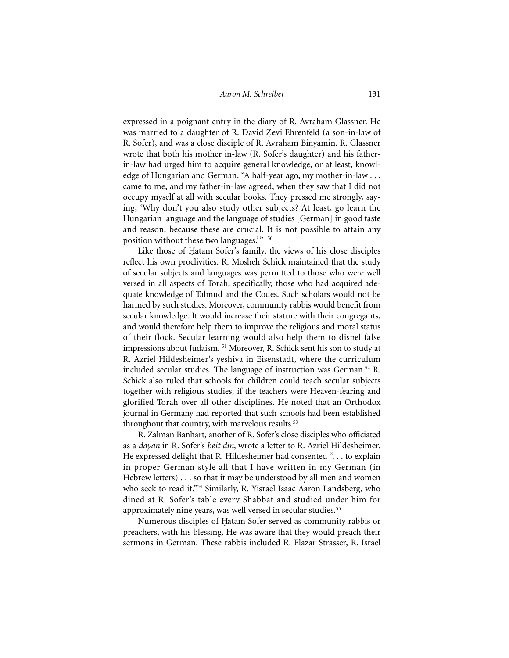expressed in a poignant entry in the diary of R. Avraham Glassner. He was married to a daughter of R. David Zevi Ehrenfeld (a son-in-law of R. Sofer), and was a close disciple of R. Avraham Binyamin. R. Glassner wrote that both his mother in-law (R. Sofer's daughter) and his fatherin-law had urged him to acquire general knowledge, or at least, knowledge of Hungarian and German. "A half-year ago, my mother-in-law . . . came to me, and my father-in-law agreed, when they saw that I did not occupy myself at all with secular books. They pressed me strongly, saying, 'Why don't you also study other subjects? At least, go learn the Hungarian language and the language of studies [German] in good taste and reason, because these are crucial. It is not possible to attain any position without these two languages.'" 50

Like those of Hatam Sofer's family, the views of his close disciples reflect his own proclivities. R. Mosheh Schick maintained that the study of secular subjects and languages was permitted to those who were well versed in all aspects of Torah; specifically, those who had acquired adequate knowledge of Talmud and the Codes. Such scholars would not be harmed by such studies. Moreover, community rabbis would benefit from secular knowledge. It would increase their stature with their congregants, and would therefore help them to improve the religious and moral status of their flock. Secular learning would also help them to dispel false impressions about Judaism. 51 Moreover, R. Schick sent his son to study at R. Azriel Hildesheimer's yeshiva in Eisenstadt, where the curriculum included secular studies. The language of instruction was German.52 R. Schick also ruled that schools for children could teach secular subjects together with religious studies, if the teachers were Heaven-fearing and glorified Torah over all other disciplines. He noted that an Orthodox journal in Germany had reported that such schools had been established throughout that country, with marvelous results.<sup>53</sup>

R. Zalman Banhart, another of R. Sofer's close disciples who officiated as a *dayan* in R. Sofer's *beit din*, wrote a letter to R. Azriel Hildesheimer. He expressed delight that R. Hildesheimer had consented ". . . to explain in proper German style all that I have written in my German (in Hebrew letters) . . . so that it may be understood by all men and women who seek to read it."54 Similarly, R. Yisrael Isaac Aaron Landsberg, who dined at R. Sofer's table every Shabbat and studied under him for approximately nine years, was well versed in secular studies.<sup>55</sup>

Numerous disciples of Hatam Sofer served as community rabbis or preachers, with his blessing. He was aware that they would preach their sermons in German. These rabbis included R. Elazar Strasser, R. Israel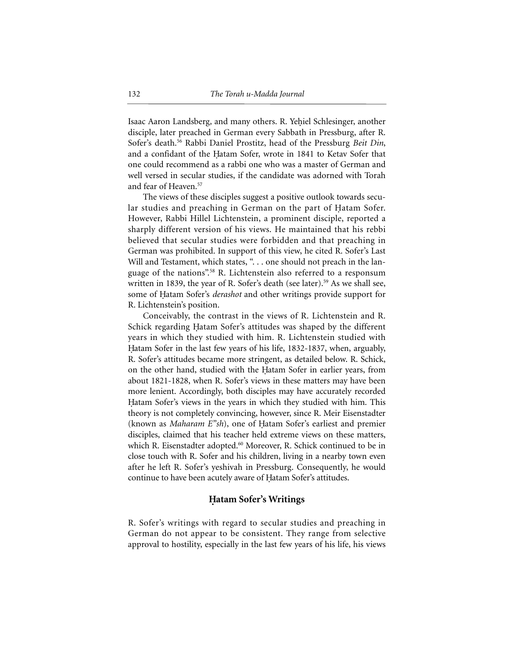Isaac Aaron Landsberg, and many others. R. Yehiel Schlesinger, another disciple, later preached in German every Sabbath in Pressburg, after R. Sofer's death.56 Rabbi Daniel Prostitz, head of the Pressburg *Beit Din*, and a confidant of the Hatam Sofer, wrote in 1841 to Ketav Sofer that one could recommend as a rabbi one who was a master of German and well versed in secular studies, if the candidate was adorned with Torah and fear of Heaven.57

The views of these disciples suggest a positive outlook towards secular studies and preaching in German on the part of Hatam Sofer. However, Rabbi Hillel Lichtenstein, a prominent disciple, reported a sharply different version of his views. He maintained that his rebbi believed that secular studies were forbidden and that preaching in German was prohibited. In support of this view, he cited R. Sofer's Last Will and Testament, which states, ". . . one should not preach in the language of the nations".58 R. Lichtenstein also referred to a responsum written in 1839, the year of R. Sofer's death (see later).<sup>59</sup> As we shall see, some of Hatam Sofer's *derashot* and other writings provide support for R. Lichtenstein's position.

Conceivably, the contrast in the views of R. Lichtenstein and R. Schick regarding Hatam Sofer's attitudes was shaped by the different years in which they studied with him. R. Lichtenstein studied with Hatam Sofer in the last few years of his life, 1832-1837, when, arguably, R. Sofer's attitudes became more stringent, as detailed below. R. Schick, on the other hand, studied with the Hatam Sofer in earlier years, from about 1821-1828, when R. Sofer's views in these matters may have been more lenient. Accordingly, both disciples may have accurately recorded Hatam Sofer's views in the years in which they studied with him. This theory is not completely convincing, however, since R. Meir Eisenstadter (known as *Maharam E"sh*), one of Hatam Sofer's earliest and premier disciples, claimed that his teacher held extreme views on these matters, which R. Eisenstadter adopted.<sup>60</sup> Moreover, R. Schick continued to be in close touch with R. Sofer and his children, living in a nearby town even after he left R. Sofer's yeshivah in Pressburg. Consequently, he would continue to have been acutely aware of Hatam Sofer's attitudes.

## **H. atam Sofer's Writings**

R. Sofer's writings with regard to secular studies and preaching in German do not appear to be consistent. They range from selective approval to hostility, especially in the last few years of his life, his views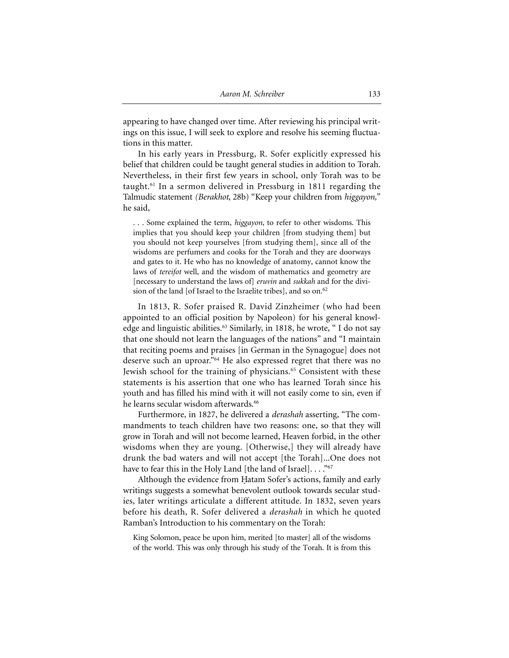appearing to have changed over time. After reviewing his principal writings on this issue, I will seek to explore and resolve his seeming fluctuations in this matter.

In his early years in Pressburg, R. Sofer explicitly expressed his belief that children could be taught general studies in addition to Torah. Nevertheless, in their first few years in school, only Torah was to be taught.61 In a sermon delivered in Pressburg in 1811 regarding the Talmudic statement *(Berakhot*, 28b) "Keep your children from *higgayon,*" he said,

. . . Some explained the term, *higgayon*, to refer to other wisdoms. This implies that you should keep your children [from studying them] but you should not keep yourselves [from studying them], since all of the wisdoms are perfumers and cooks for the Torah and they are doorways and gates to it. He who has no knowledge of anatomy, cannot know the laws of *tereifot* well, and the wisdom of mathematics and geometry are [necessary to understand the laws of] *eruvin* and *sukkah* and for the division of the land [of Israel to the Israelite tribes], and so on.<sup>62</sup>

In 1813, R. Sofer praised R. David Zinzheimer (who had been appointed to an official position by Napoleon) for his general knowledge and linguistic abilities.<sup>63</sup> Similarly, in 1818, he wrote, "I do not say that one should not learn the languages of the nations" and "I maintain that reciting poems and praises [in German in the Synagogue] does not deserve such an uproar."64 He also expressed regret that there was no Jewish school for the training of physicians.<sup>65</sup> Consistent with these statements is his assertion that one who has learned Torah since his youth and has filled his mind with it will not easily come to sin, even if he learns secular wisdom afterwards.<sup>66</sup>

Furthermore, in 1827, he delivered a *derashah* asserting, "The commandments to teach children have two reasons: one, so that they will grow in Torah and will not become learned, Heaven forbid, in the other wisdoms when they are young. [Otherwise,] they will already have drunk the bad waters and will not accept [the Torah]...One does not have to fear this in the Holy Land [the land of Israel]...."<sup>67</sup>

Although the evidence from Hatam Sofer's actions, family and early writings suggests a somewhat benevolent outlook towards secular studies, later writings articulate a different attitude. In 1832, seven years before his death, R. Sofer delivered a *derashah* in which he quoted Ramban's Introduction to his commentary on the Torah:

King Solomon, peace be upon him, merited [to master] all of the wisdoms of the world. This was only through his study of the Torah. It is from this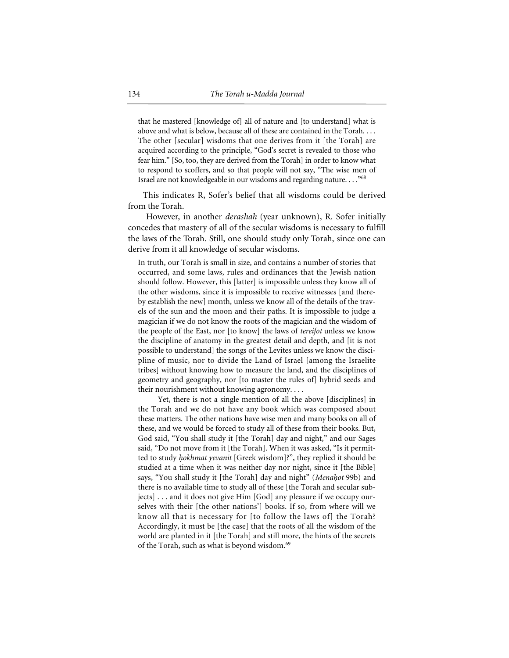that he mastered [knowledge of] all of nature and [to understand] what is above and what is below, because all of these are contained in the Torah. . . . The other [secular] wisdoms that one derives from it [the Torah] are acquired according to the principle, "God's secret is revealed to those who fear him." [So, too, they are derived from the Torah] in order to know what to respond to scoffers, and so that people will not say, "The wise men of Israel are not knowledgeable in our wisdoms and regarding nature. . . ."68

This indicates R, Sofer's belief that all wisdoms could be derived from the Torah.

However, in another *derashah* (year unknown), R. Sofer initially concedes that mastery of all of the secular wisdoms is necessary to fulfill the laws of the Torah. Still, one should study only Torah, since one can derive from it all knowledge of secular wisdoms.

In truth, our Torah is small in size, and contains a number of stories that occurred, and some laws, rules and ordinances that the Jewish nation should follow. However, this [latter] is impossible unless they know all of the other wisdoms, since it is impossible to receive witnesses [and thereby establish the new] month, unless we know all of the details of the travels of the sun and the moon and their paths. It is impossible to judge a magician if we do not know the roots of the magician and the wisdom of the people of the East, nor [to know] the laws of *tereifot* unless we know the discipline of anatomy in the greatest detail and depth, and [it is not possible to understand] the songs of the Levites unless we know the discipline of music, nor to divide the Land of Israel [among the Israelite tribes] without knowing how to measure the land, and the disciplines of geometry and geography, nor [to master the rules of] hybrid seeds and their nourishment without knowing agronomy. . . .

Yet, there is not a single mention of all the above [disciplines] in the Torah and we do not have any book which was composed about these matters. The other nations have wise men and many books on all of these, and we would be forced to study all of these from their books. But, God said, "You shall study it [the Torah] day and night," and our Sages said, "Do not move from it [the Torah]. When it was asked, "Is it permitted to study *hokhmat yevanit* [Greek wisdom]?", they replied it should be studied at a time when it was neither day nor night, since it [the Bible] says, "You shall study it [the Torah] day and night" (*Menahot* 99b) and there is no available time to study all of these [the Torah and secular subjects] . . . and it does not give Him [God] any pleasure if we occupy ourselves with their [the other nations'] books. If so, from where will we know all that is necessary for [to follow the laws of] the Torah? Accordingly, it must be [the case] that the roots of all the wisdom of the world are planted in it [the Torah] and still more, the hints of the secrets of the Torah, such as what is beyond wisdom.<sup>69</sup>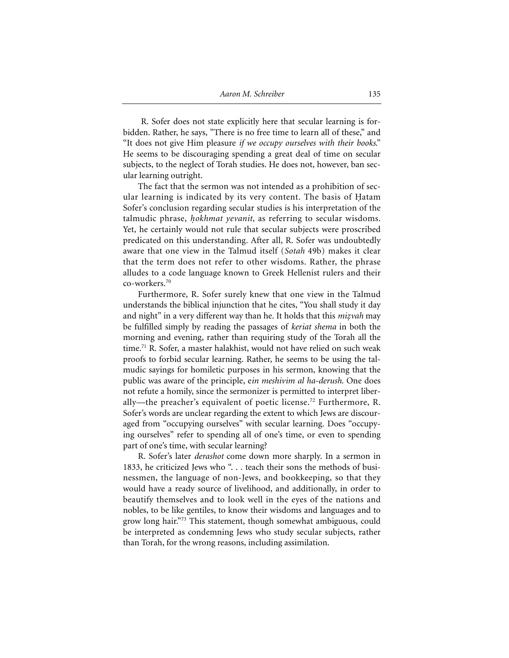R. Sofer does not state explicitly here that secular learning is forbidden. Rather, he says, "There is no free time to learn all of these," and "It does not give Him pleasure *if we occupy ourselves with their books*." He seems to be discouraging spending a great deal of time on secular subjects, to the neglect of Torah studies. He does not, however, ban secular learning outright.

The fact that the sermon was not intended as a prohibition of secular learning is indicated by its very content. The basis of Hatam Sofer's conclusion regarding secular studies is his interpretation of the talmudic phrase, *hokhmat yevanit*, as referring to secular wisdoms. Yet, he certainly would not rule that secular subjects were proscribed predicated on this understanding. After all, R. Sofer was undoubtedly aware that one view in the Talmud itself (*Sotah* 49b) makes it clear that the term does not refer to other wisdoms. Rather, the phrase alludes to a code language known to Greek Hellenist rulers and their co-workers.70

Furthermore, R. Sofer surely knew that one view in the Talmud understands the biblical injunction that he cites, "You shall study it day and night" in a very different way than he. It holds that this *mizvah* may be fulfilled simply by reading the passages of *keriat shema* in both the morning and evening, rather than requiring study of the Torah all the time.71 R. Sofer, a master halakhist, would not have relied on such weak proofs to forbid secular learning. Rather, he seems to be using the talmudic sayings for homiletic purposes in his sermon, knowing that the public was aware of the principle, e*in meshivim al ha-derush*. One does not refute a homily, since the sermonizer is permitted to interpret liberally—the preacher's equivalent of poetic license.72 Furthermore, R. Sofer's words are unclear regarding the extent to which Jews are discouraged from "occupying ourselves" with secular learning. Does "occupying ourselves" refer to spending all of one's time, or even to spending part of one's time, with secular learning?

R. Sofer's later *derashot* come down more sharply. In a sermon in 1833, he criticized Jews who ". . . teach their sons the methods of businessmen, the language of non-Jews, and bookkeeping, so that they would have a ready source of livelihood, and additionally, in order to beautify themselves and to look well in the eyes of the nations and nobles, to be like gentiles, to know their wisdoms and languages and to grow long hair."73 This statement, though somewhat ambiguous, could be interpreted as condemning Jews who study secular subjects, rather than Torah, for the wrong reasons, including assimilation.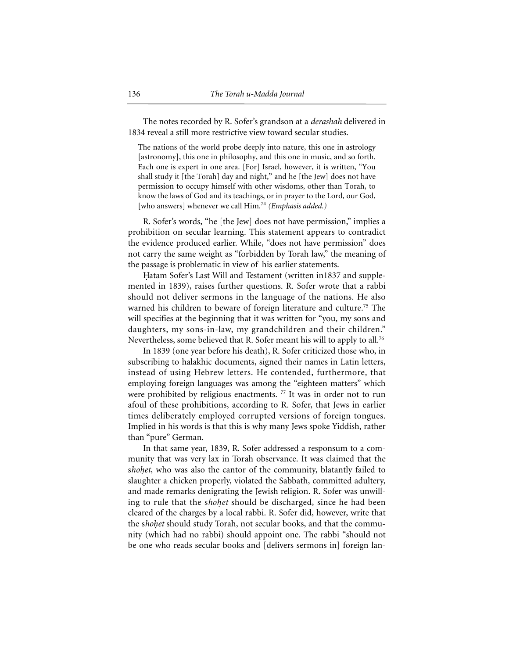The notes recorded by R. Sofer's grandson at a *derashah* delivered in 1834 reveal a still more restrictive view toward secular studies.

The nations of the world probe deeply into nature, this one in astrology [astronomy], this one in philosophy, and this one in music, and so forth. Each one is expert in one area. [For] Israel, however, it is written, "You shall study it [the Torah] day and night," and he [the Jew] does not have permission to occupy himself with other wisdoms, other than Torah, to know the laws of God and its teachings, or in prayer to the Lord, our God, [who answers] whenever we call Him.<sup>74</sup> *(Emphasis added.)*

R. Sofer's words, "he [the Jew] does not have permission," implies a prohibition on secular learning. This statement appears to contradict the evidence produced earlier. While, "does not have permission" does not carry the same weight as "forbidden by Torah law," the meaning of the passage is problematic in view of his earlier statements.

Hatam Sofer's Last Will and Testament (written in1837 and supplemented in 1839), raises further questions. R. Sofer wrote that a rabbi should not deliver sermons in the language of the nations. He also warned his children to beware of foreign literature and culture.<sup>75</sup> The will specifies at the beginning that it was written for "you, my sons and daughters, my sons-in-law, my grandchildren and their children." Nevertheless, some believed that R. Sofer meant his will to apply to all.76

In 1839 (one year before his death), R. Sofer criticized those who, in subscribing to halakhic documents, signed their names in Latin letters, instead of using Hebrew letters. He contended, furthermore, that employing foreign languages was among the "eighteen matters" which were prohibited by religious enactments.<sup>77</sup> It was in order not to run afoul of these prohibitions, according to R. Sofer, that Jews in earlier times deliberately employed corrupted versions of foreign tongues. Implied in his words is that this is why many Jews spoke Yiddish, rather than "pure" German.

In that same year, 1839, R. Sofer addressed a responsum to a community that was very lax in Torah observance. It was claimed that the shohet, who was also the cantor of the community, blatantly failed to slaughter a chicken properly, violated the Sabbath, committed adultery, and made remarks denigrating the Jewish religion. R. Sofer was unwilling to rule that the *shohet* should be discharged, since he had been cleared of the charges by a local rabbi. R. Sofer did, however, write that the *shohet* should study Torah, not secular books, and that the community (which had no rabbi) should appoint one. The rabbi "should not be one who reads secular books and [delivers sermons in] foreign lan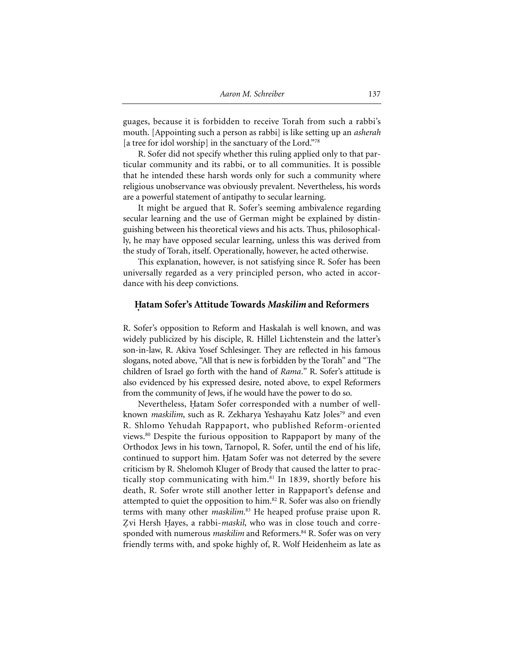guages, because it is forbidden to receive Torah from such a rabbi's mouth. [Appointing such a person as rabbi] is like setting up an *asherah* [a tree for idol worship] in the sanctuary of the Lord."78

R. Sofer did not specify whether this ruling applied only to that particular community and its rabbi, or to all communities. It is possible that he intended these harsh words only for such a community where religious unobservance was obviously prevalent. Nevertheless, his words are a powerful statement of antipathy to secular learning.

It might be argued that R. Sofer's seeming ambivalence regarding secular learning and the use of German might be explained by distinguishing between his theoretical views and his acts. Thus, philosophically, he may have opposed secular learning, unless this was derived from the study of Torah, itself. Operationally, however, he acted otherwise.

This explanation, however, is not satisfying since R. Sofer has been universally regarded as a very principled person, who acted in accordance with his deep convictions.

#### **H. atam Sofer's Attitude Towards** *Maskilim* **and Reformers**

R. Sofer's opposition to Reform and Haskalah is well known, and was widely publicized by his disciple, R. Hillel Lichtenstein and the latter's son-in-law, R. Akiva Yosef Schlesinger. They are reflected in his famous slogans, noted above, "All that is new is forbidden by the Torah" and "The children of Israel go forth with the hand of *Rama.*" R. Sofer's attitude is also evidenced by his expressed desire, noted above, to expel Reformers from the community of Jews, if he would have the power to do so.

Nevertheless, Hatam Sofer corresponded with a number of wellknown *maskilim*, such as R. Zekharya Yeshayahu Katz Joles<sup>79</sup> and even R. Shlomo Yehudah Rappaport, who published Reform-oriented views.80 Despite the furious opposition to Rappaport by many of the Orthodox Jews in his town, Tarnopol, R. Sofer, until the end of his life, continued to support him. Hatam Sofer was not deterred by the severe criticism by R. Shelomoh Kluger of Brody that caused the latter to practically stop communicating with him.<sup>81</sup> In 1839, shortly before his death, R. Sofer wrote still another letter in Rappaport's defense and attempted to quiet the opposition to him.82 R. Sofer was also on friendly terms with many other *maskilim.*<sup>83</sup> He heaped profuse praise upon R. Zvi Hersh Hayes, a rabbi-*maskil*, who was in close touch and corresponded with numerous *maskilim* and Reformers.<sup>84</sup> R. Sofer was on very friendly terms with, and spoke highly of, R. Wolf Heidenheim as late as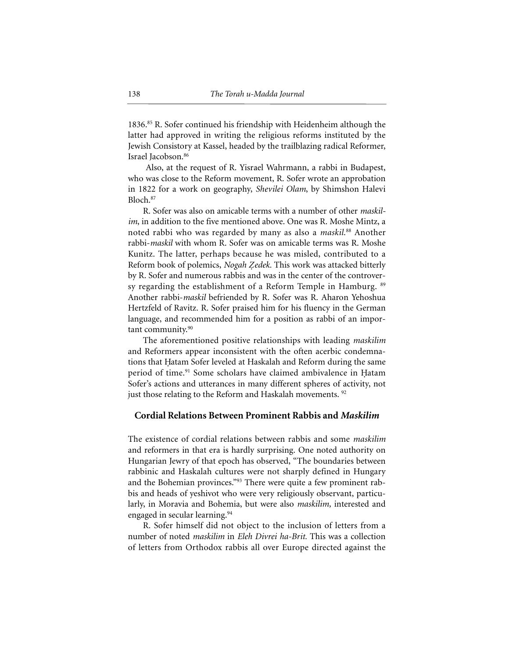1836.85 R. Sofer continued his friendship with Heidenheim although the latter had approved in writing the religious reforms instituted by the Jewish Consistory at Kassel, headed by the trailblazing radical Reformer, Israel Jacobson.86

Also, at the request of R. Yisrael Wahrmann, a rabbi in Budapest, who was close to the Reform movement, R. Sofer wrote an approbation in 1822 for a work on geography, *Shevilei Olam*, by Shimshon Halevi Bloch.87

R. Sofer was also on amicable terms with a number of other *maskilim*, in addition to the five mentioned above. One was R. Moshe Mintz, a noted rabbi who was regarded by many as also a *maskil*. <sup>88</sup> Another rabbi-*maskil* with whom R. Sofer was on amicable terms was R. Moshe Kunitz. The latter, perhaps because he was misled, contributed to a Reform book of polemics, *Nogah Zedek*. This work was attacked bitterly by R. Sofer and numerous rabbis and was in the center of the controversy regarding the establishment of a Reform Temple in Hamburg. <sup>89</sup> Another rabbi-*maskil* befriended by R. Sofer was R. Aharon Yehoshua Hertzfeld of Ravitz. R. Sofer praised him for his fluency in the German language, and recommended him for a position as rabbi of an important community.<sup>90</sup>

The aforementioned positive relationships with leading *maskilim* and Reformers appear inconsistent with the often acerbic condemnations that Hatam Sofer leveled at Haskalah and Reform during the same period of time.<sup>91</sup> Some scholars have claimed ambivalence in Hatam Sofer's actions and utterances in many different spheres of activity, not just those relating to the Reform and Haskalah movements.<sup>92</sup>

# **Cordial Relations Between Prominent Rabbis and** *Maskilim*

The existence of cordial relations between rabbis and some *maskilim* and reformers in that era is hardly surprising. One noted authority on Hungarian Jewry of that epoch has observed, "The boundaries between rabbinic and Haskalah cultures were not sharply defined in Hungary and the Bohemian provinces."<sup>93</sup> There were quite a few prominent rabbis and heads of yeshivot who were very religiously observant, particularly, in Moravia and Bohemia, but were also *maskilim,* interested and engaged in secular learning.<sup>94</sup>

R. Sofer himself did not object to the inclusion of letters from a number of noted *maskilim* in *Eleh Divrei ha-Brit.* This was a collection of letters from Orthodox rabbis all over Europe directed against the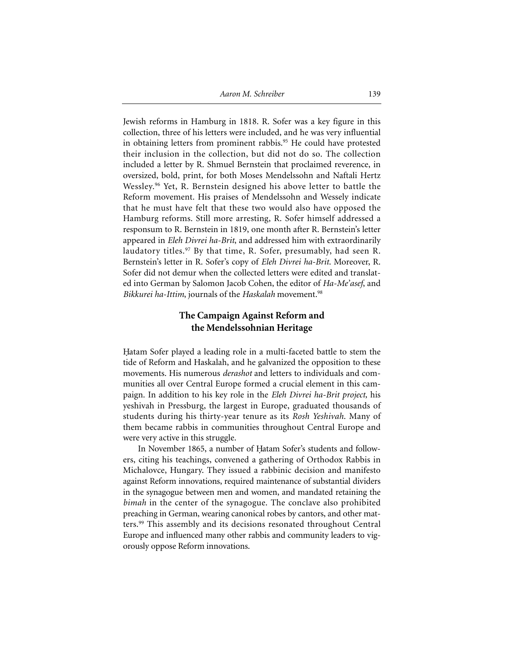Jewish reforms in Hamburg in 1818. R. Sofer was a key figure in this collection, three of his letters were included, and he was very influential in obtaining letters from prominent rabbis.<sup>95</sup> He could have protested their inclusion in the collection, but did not do so. The collection included a letter by R. Shmuel Bernstein that proclaimed reverence, in oversized, bold, print, for both Moses Mendelssohn and Naftali Hertz Wessley.96 Yet, R. Bernstein designed his above letter to battle the Reform movement. His praises of Mendelssohn and Wessely indicate that he must have felt that these two would also have opposed the Hamburg reforms. Still more arresting, R. Sofer himself addressed a responsum to R. Bernstein in 1819, one month after R. Bernstein's letter appeared in *Eleh Divrei ha-Brit*, and addressed him with extraordinarily laudatory titles.<sup>97</sup> By that time, R. Sofer, presumably, had seen R. Bernstein's letter in R. Sofer's copy of *Eleh Divrei ha-Brit*. Moreover, R. Sofer did not demur when the collected letters were edited and translated into German by Salomon Jacob Cohen, the editor of *Ha-Me'asef*, and *Bikkurei ha-Ittim*, journals of the *Haskalah* movement.98

# **The Campaign Against Reform and the Mendelssohnian Heritage**

Hatam Sofer played a leading role in a multi-faceted battle to stem the tide of Reform and Haskalah, and he galvanized the opposition to these movements. His numerous *derashot* and letters to individuals and communities all over Central Europe formed a crucial element in this campaign. In addition to his key role in the *Eleh Divrei ha-Brit project,* his yeshivah in Pressburg, the largest in Europe, graduated thousands of students during his thirty-year tenure as its *Rosh Yeshivah*. Many of them became rabbis in communities throughout Central Europe and were very active in this struggle.

In November 1865, a number of Hatam Sofer's students and followers, citing his teachings, convened a gathering of Orthodox Rabbis in Michalovce, Hungary. They issued a rabbinic decision and manifesto against Reform innovations, required maintenance of substantial dividers in the synagogue between men and women, and mandated retaining the *bimah* in the center of the synagogue. The conclave also prohibited preaching in German, wearing canonical robes by cantors, and other matters.99 This assembly and its decisions resonated throughout Central Europe and influenced many other rabbis and community leaders to vigorously oppose Reform innovations.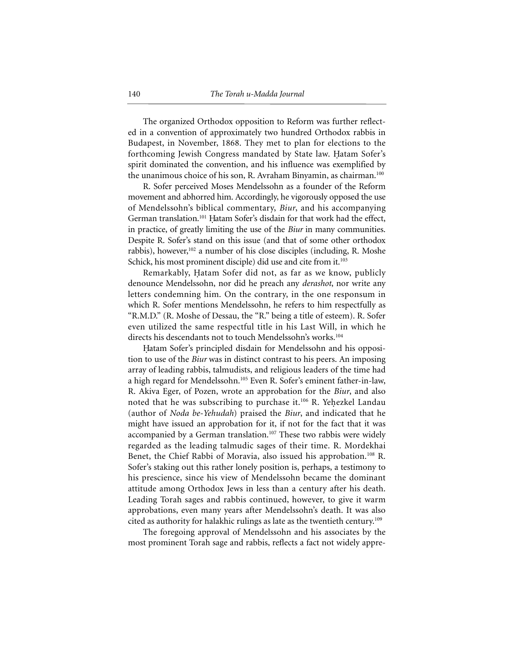The organized Orthodox opposition to Reform was further reflected in a convention of approximately two hundred Orthodox rabbis in Budapest, in November, 1868. They met to plan for elections to the forthcoming Jewish Congress mandated by State law. Hatam Sofer's spirit dominated the convention, and his influence was exemplified by the unanimous choice of his son, R. Avraham Binyamin, as chairman.100

R. Sofer perceived Moses Mendelssohn as a founder of the Reform movement and abhorred him. Accordingly, he vigorously opposed the use of Mendelssohn's biblical commentary, *Biur*, and his accompanying German translation.<sup>101</sup> Hatam Sofer's disdain for that work had the effect, in practice, of greatly limiting the use of the *Biur* in many communities. Despite R. Sofer's stand on this issue (and that of some other orthodox rabbis), however,<sup>102</sup> a number of his close disciples (including, R. Moshe Schick, his most prominent disciple) did use and cite from it.<sup>103</sup>

Remarkably, Hatam Sofer did not, as far as we know, publicly denounce Mendelssohn, nor did he preach any *derashot*, nor write any letters condemning him. On the contrary, in the one responsum in which R. Sofer mentions Mendelssohn, he refers to him respectfully as "R.M.D." (R. Moshe of Dessau, the "R." being a title of esteem). R. Sofer even utilized the same respectful title in his Last Will, in which he directs his descendants not to touch Mendelssohn's works.<sup>104</sup>

Hatam Sofer's principled disdain for Mendelssohn and his opposition to use of the *Biur* was in distinct contrast to his peers. An imposing array of leading rabbis, talmudists, and religious leaders of the time had a high regard for Mendelssohn.105 Even R. Sofer's eminent father-in-law, R. Akiva Eger, of Pozen, wrote an approbation for the *Biur*, and also noted that he was subscribing to purchase it.<sup>106</sup> R. Yehezkel Landau (author of *Noda be-Yehudah*) praised the *Biur*, and indicated that he might have issued an approbation for it, if not for the fact that it was accompanied by a German translation.<sup>107</sup> These two rabbis were widely regarded as the leading talmudic sages of their time. R. Mordekhai Benet, the Chief Rabbi of Moravia, also issued his approbation.<sup>108</sup> R. Sofer's staking out this rather lonely position is, perhaps, a testimony to his prescience, since his view of Mendelssohn became the dominant attitude among Orthodox Jews in less than a century after his death. Leading Torah sages and rabbis continued, however, to give it warm approbations, even many years after Mendelssohn's death. It was also cited as authority for halakhic rulings as late as the twentieth century.<sup>109</sup>

The foregoing approval of Mendelssohn and his associates by the most prominent Torah sage and rabbis, reflects a fact not widely appre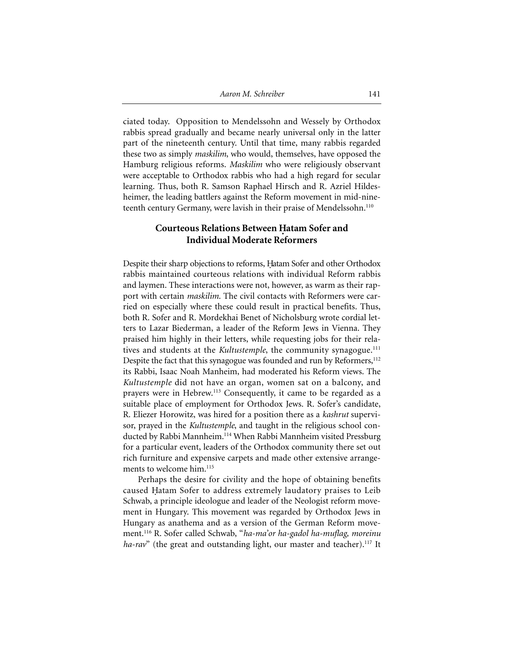ciated today. Opposition to Mendelssohn and Wessely by Orthodox rabbis spread gradually and became nearly universal only in the latter part of the nineteenth century. Until that time, many rabbis regarded these two as simply *maskilim*, who would, themselves, have opposed the Hamburg religious reforms. *Maskilim* who were religiously observant were acceptable to Orthodox rabbis who had a high regard for secular learning. Thus, both R. Samson Raphael Hirsch and R. Azriel Hildesheimer, the leading battlers against the Reform movement in mid-nineteenth century Germany, were lavish in their praise of Mendelssohn.<sup>110</sup>

# **Courteous Relations Between Hatam Sofer and Individual Moderate Reformers**

Despite their sharp objections to reforms, Hatam Sofer and other Orthodox rabbis maintained courteous relations with individual Reform rabbis and laymen. These interactions were not, however, as warm as their rapport with certain *maskilim*. The civil contacts with Reformers were carried on especially where these could result in practical benefits. Thus, both R. Sofer and R. Mordekhai Benet of Nicholsburg wrote cordial letters to Lazar Biederman, a leader of the Reform Jews in Vienna. They praised him highly in their letters, while requesting jobs for their relatives and students at the *Kultustemple*, the community synagogue.<sup>111</sup> Despite the fact that this synagogue was founded and run by Reformers,<sup>112</sup> its Rabbi, Isaac Noah Manheim, had moderated his Reform views. The *Kultustemple* did not have an organ, women sat on a balcony, and prayers were in Hebrew.113 Consequently, it came to be regarded as a suitable place of employment for Orthodox Jews. R. Sofer's candidate, R. Eliezer Horowitz, was hired for a position there as a *kashrut* supervisor, prayed in the *Kultustemple*, and taught in the religious school conducted by Rabbi Mannheim.114 When Rabbi Mannheim visited Pressburg for a particular event, leaders of the Orthodox community there set out rich furniture and expensive carpets and made other extensive arrangements to welcome him.<sup>115</sup>

Perhaps the desire for civility and the hope of obtaining benefits caused Hatam Sofer to address extremely laudatory praises to Leib Schwab, a principle ideologue and leader of the Neologist reform movement in Hungary. This movement was regarded by Orthodox Jews in Hungary as anathema and as a version of the German Reform movement.116 R. Sofer called Schwab, "*ha-ma'or ha-gadol ha-muflag, moreinu ha-rav*" (the great and outstanding light, our master and teacher).<sup>117</sup> It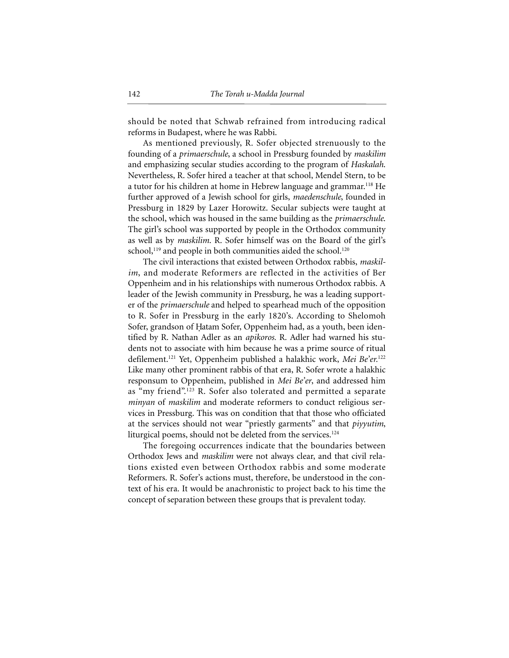should be noted that Schwab refrained from introducing radical reforms in Budapest, where he was Rabbi.

As mentioned previously, R. Sofer objected strenuously to the founding of a *primaerschule*, a school in Pressburg founded by *maskilim* and emphasizing secular studies according to the program of *Haskalah*. Nevertheless, R. Sofer hired a teacher at that school, Mendel Stern, to be a tutor for his children at home in Hebrew language and grammar.<sup>118</sup> He further approved of a Jewish school for girls, *maedenschule*, founded in Pressburg in 1829 by Lazer Horowitz. Secular subjects were taught at the school, which was housed in the same building as the *primaerschule*. The girl's school was supported by people in the Orthodox community as well as by *maskilim*. R. Sofer himself was on the Board of the girl's school,<sup>119</sup> and people in both communities aided the school.<sup>120</sup>

The civil interactions that existed between Orthodox rabbis, *maskilim*, and moderate Reformers are reflected in the activities of Ber Oppenheim and in his relationships with numerous Orthodox rabbis. A leader of the Jewish community in Pressburg, he was a leading supporter of the *primaerschule* and helped to spearhead much of the opposition to R. Sofer in Pressburg in the early 1820's. According to Shelomoh Sofer, grandson of Hatam Sofer, Oppenheim had, as a youth, been identified by R. Nathan Adler as an *apikoros.* R. Adler had warned his students not to associate with him because he was a prime source of ritual defilement.121 Yet, Oppenheim published a halakhic work, *Mei Be'er.*<sup>122</sup> Like many other prominent rabbis of that era, R. Sofer wrote a halakhic responsum to Oppenheim, published in *Mei Be'er*, and addressed him as "my friend".123 R. Sofer also tolerated and permitted a separate *minyan* of *maskilim* and moderate reformers to conduct religious services in Pressburg. This was on condition that that those who officiated at the services should not wear "priestly garments" and that *piyyutim*, liturgical poems, should not be deleted from the services.<sup>124</sup>

The foregoing occurrences indicate that the boundaries between Orthodox Jews and *maskilim* were not always clear, and that civil relations existed even between Orthodox rabbis and some moderate Reformers. R. Sofer's actions must, therefore, be understood in the context of his era. It would be anachronistic to project back to his time the concept of separation between these groups that is prevalent today.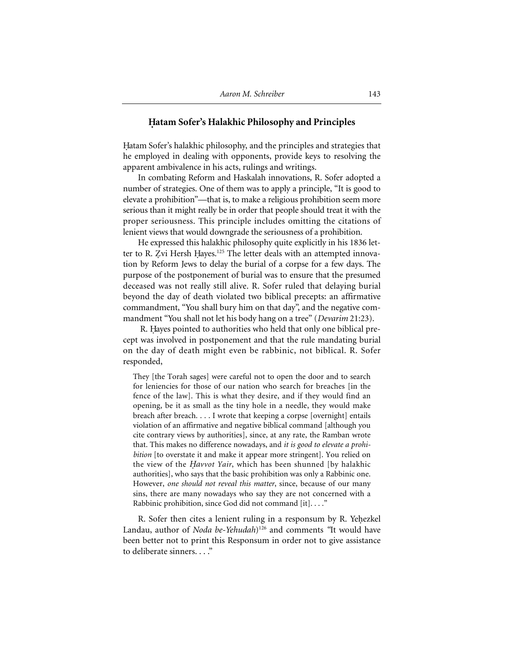#### **H. atam Sofer's Halakhic Philosophy and Principles**

Hatam Sofer's halakhic philosophy, and the principles and strategies that he employed in dealing with opponents, provide keys to resolving the apparent ambivalence in his acts, rulings and writings.

In combating Reform and Haskalah innovations, R. Sofer adopted a number of strategies. One of them was to apply a principle, "It is good to elevate a prohibition"—that is, to make a religious prohibition seem more serious than it might really be in order that people should treat it with the proper seriousness. This principle includes omitting the citations of lenient views that would downgrade the seriousness of a prohibition.

He expressed this halakhic philosophy quite explicitly in his 1836 letter to R. Zvi Hersh Hayes.<sup>125</sup> The letter deals with an attempted innovation by Reform Jews to delay the burial of a corpse for a few days. The purpose of the postponement of burial was to ensure that the presumed deceased was not really still alive. R. Sofer ruled that delaying burial beyond the day of death violated two biblical precepts: an affirmative commandment, "You shall bury him on that day", and the negative commandment "You shall not let his body hang on a tree" (*Devarim* 21:23).

R. Hayes pointed to authorities who held that only one biblical precept was involved in postponement and that the rule mandating burial on the day of death might even be rabbinic, not biblical. R. Sofer responded,

They [the Torah sages] were careful not to open the door and to search for leniencies for those of our nation who search for breaches [in the fence of the law]. This is what they desire, and if they would find an opening, be it as small as the tiny hole in a needle, they would make breach after breach. . . . I wrote that keeping a corpse [overnight] entails violation of an affirmative and negative biblical command [although you cite contrary views by authorities], since, at any rate, the Ramban wrote that. This makes no difference nowadays, and *it is good to elevate a prohibition* [to overstate it and make it appear more stringent]. You relied on the view of the *Havvot Yair*, which has been shunned [by halakhic authorities], who says that the basic prohibition was only a Rabbinic one. However, *one should not reveal this matter*, since, because of our many sins, there are many nowadays who say they are not concerned with a Rabbinic prohibition, since God did not command [it]. . . ."

R. Sofer then cites a lenient ruling in a responsum by R. Yehezkel Landau, author of *Noda be-Yehudah*)<sup>126</sup> and comments "It would have been better not to print this Responsum in order not to give assistance to deliberate sinners. . . ."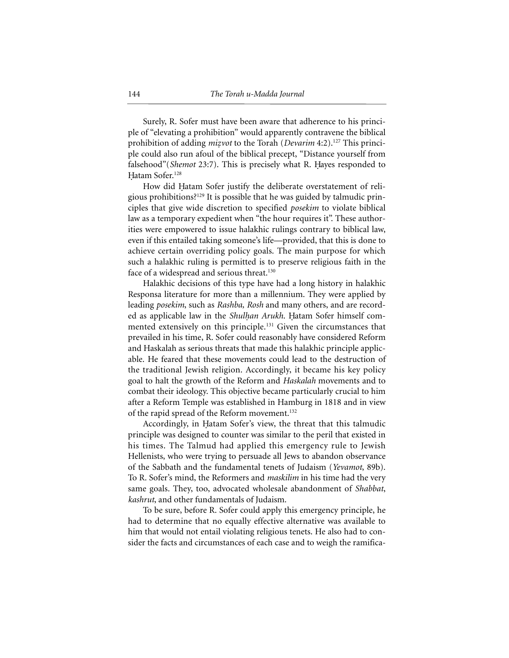Surely, R. Sofer must have been aware that adherence to his principle of "elevating a prohibition" would apparently contravene the biblical prohibition of adding *mizvot* to the Torah (*Devarim* 4:2).<sup>127</sup> This principle could also run afoul of the biblical precept, "Distance yourself from falsehood"(*Shemot 23:7*). This is precisely what R. Hayes responded to Hatam Sofer.<sup>128</sup>

How did Hatam Sofer justify the deliberate overstatement of religious prohibitions?129 It is possible that he was guided by talmudic principles that give wide discretion to specified *posekim* to violate biblical law as a temporary expedient when "the hour requires it". These authorities were empowered to issue halakhic rulings contrary to biblical law, even if this entailed taking someone's life—provided, that this is done to achieve certain overriding policy goals. The main purpose for which such a halakhic ruling is permitted is to preserve religious faith in the face of a widespread and serious threat.<sup>130</sup>

Halakhic decisions of this type have had a long history in halakhic Responsa literature for more than a millennium. They were applied by leading *posekim*, such as *Rashba, Rosh* and many others, and are recorded as applicable law in the *Shulhan Arukh*. Hatam Sofer himself commented extensively on this principle.131 Given the circumstances that prevailed in his time, R. Sofer could reasonably have considered Reform and Haskalah as serious threats that made this halakhic principle applicable. He feared that these movements could lead to the destruction of the traditional Jewish religion. Accordingly, it became his key policy goal to halt the growth of the Reform and *Haskalah* movements and to combat their ideology. This objective became particularly crucial to him after a Reform Temple was established in Hamburg in 1818 and in view of the rapid spread of the Reform movement.132

Accordingly, in Hatam Sofer's view, the threat that this talmudic principle was designed to counter was similar to the peril that existed in his times. The Talmud had applied this emergency rule to Jewish Hellenists, who were trying to persuade all Jews to abandon observance of the Sabbath and the fundamental tenets of Judaism (*Yevamot*, 89b). To R. Sofer's mind, the Reformers and *maskilim* in his time had the very same goals. They, too, advocated wholesale abandonment of *Shabbat*, *kashrut*, and other fundamentals of Judaism.

To be sure, before R. Sofer could apply this emergency principle, he had to determine that no equally effective alternative was available to him that would not entail violating religious tenets. He also had to consider the facts and circumstances of each case and to weigh the ramifica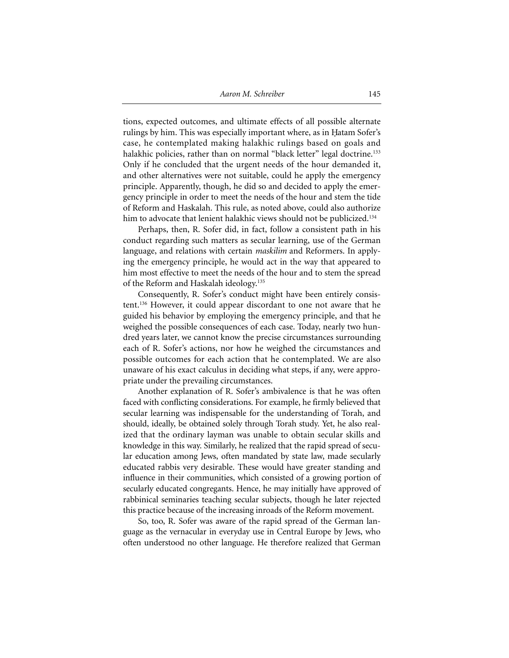tions, expected outcomes, and ultimate effects of all possible alternate rulings by him. This was especially important where, as in Hatam Sofer's case, he contemplated making halakhic rulings based on goals and halakhic policies, rather than on normal "black letter" legal doctrine.<sup>133</sup> Only if he concluded that the urgent needs of the hour demanded it, and other alternatives were not suitable, could he apply the emergency principle. Apparently, though, he did so and decided to apply the emergency principle in order to meet the needs of the hour and stem the tide of Reform and Haskalah. This rule, as noted above, could also authorize him to advocate that lenient halakhic views should not be publicized.<sup>134</sup>

Perhaps, then, R. Sofer did, in fact, follow a consistent path in his conduct regarding such matters as secular learning, use of the German language, and relations with certain *maskilim* and Reformers. In applying the emergency principle, he would act in the way that appeared to him most effective to meet the needs of the hour and to stem the spread of the Reform and Haskalah ideology.135

Consequently, R. Sofer's conduct might have been entirely consistent.136 However, it could appear discordant to one not aware that he guided his behavior by employing the emergency principle, and that he weighed the possible consequences of each case. Today, nearly two hundred years later, we cannot know the precise circumstances surrounding each of R. Sofer's actions, nor how he weighed the circumstances and possible outcomes for each action that he contemplated. We are also unaware of his exact calculus in deciding what steps, if any, were appropriate under the prevailing circumstances.

Another explanation of R. Sofer's ambivalence is that he was often faced with conflicting considerations. For example, he firmly believed that secular learning was indispensable for the understanding of Torah, and should, ideally, be obtained solely through Torah study. Yet, he also realized that the ordinary layman was unable to obtain secular skills and knowledge in this way. Similarly, he realized that the rapid spread of secular education among Jews, often mandated by state law, made secularly educated rabbis very desirable. These would have greater standing and influence in their communities, which consisted of a growing portion of secularly educated congregants. Hence, he may initially have approved of rabbinical seminaries teaching secular subjects, though he later rejected this practice because of the increasing inroads of the Reform movement.

So, too, R. Sofer was aware of the rapid spread of the German language as the vernacular in everyday use in Central Europe by Jews, who often understood no other language. He therefore realized that German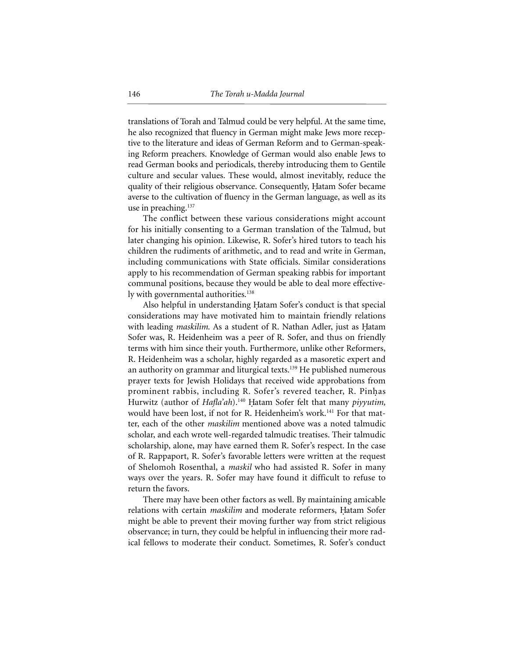translations of Torah and Talmud could be very helpful. At the same time, he also recognized that fluency in German might make Jews more receptive to the literature and ideas of German Reform and to German-speaking Reform preachers. Knowledge of German would also enable Jews to read German books and periodicals, thereby introducing them to Gentile culture and secular values. These would, almost inevitably, reduce the quality of their religious observance. Consequently, Hatam Sofer became averse to the cultivation of fluency in the German language, as well as its use in preaching.<sup>137</sup>

The conflict between these various considerations might account for his initially consenting to a German translation of the Talmud, but later changing his opinion. Likewise, R. Sofer's hired tutors to teach his children the rudiments of arithmetic, and to read and write in German, including communications with State officials. Similar considerations apply to his recommendation of German speaking rabbis for important communal positions, because they would be able to deal more effectively with governmental authorities.<sup>138</sup>

Also helpful in understanding Hatam Sofer's conduct is that special considerations may have motivated him to maintain friendly relations with leading *maskilim*. As a student of R. Nathan Adler, just as Hatam Sofer was, R. Heidenheim was a peer of R. Sofer, and thus on friendly terms with him since their youth. Furthermore, unlike other Reformers, R. Heidenheim was a scholar, highly regarded as a masoretic expert and an authority on grammar and liturgical texts.<sup>139</sup> He published numerous prayer texts for Jewish Holidays that received wide approbations from prominent rabbis, including R. Sofer's revered teacher, R. Pinhas Hurwitz (author of *Hafla'ah*).<sup>140</sup> Hatam Sofer felt that many *piyyutim*, would have been lost, if not for R. Heidenheim's work.<sup>141</sup> For that matter, each of the other *maskilim* mentioned above was a noted talmudic scholar, and each wrote well-regarded talmudic treatises. Their talmudic scholarship, alone, may have earned them R. Sofer's respect. In the case of R. Rappaport, R. Sofer's favorable letters were written at the request of Shelomoh Rosenthal, a *maskil* who had assisted R. Sofer in many ways over the years. R. Sofer may have found it difficult to refuse to return the favors.

There may have been other factors as well. By maintaining amicable relations with certain *maskilim* and moderate reformers, Hatam Sofer might be able to prevent their moving further way from strict religious observance; in turn, they could be helpful in influencing their more radical fellows to moderate their conduct. Sometimes, R. Sofer's conduct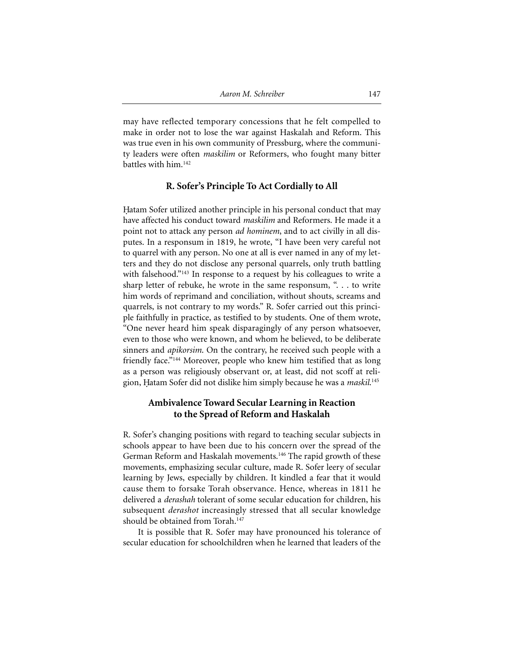may have reflected temporary concessions that he felt compelled to make in order not to lose the war against Haskalah and Reform. This was true even in his own community of Pressburg, where the community leaders were often *maskilim* or Reformers, who fought many bitter battles with him.<sup>142</sup>

## **R. Sofer's Principle To Act Cordially to All**

Hatam Sofer utilized another principle in his personal conduct that may have affected his conduct toward *maskilim* and Reformers. He made it a point not to attack any person *ad hominem*, and to act civilly in all disputes. In a responsum in 1819, he wrote, "I have been very careful not to quarrel with any person. No one at all is ever named in any of my letters and they do not disclose any personal quarrels, only truth battling with falsehood."<sup>143</sup> In response to a request by his colleagues to write a sharp letter of rebuke, he wrote in the same responsum, ". . . to write him words of reprimand and conciliation, without shouts, screams and quarrels, is not contrary to my words." R. Sofer carried out this principle faithfully in practice, as testified to by students. One of them wrote, "One never heard him speak disparagingly of any person whatsoever, even to those who were known, and whom he believed, to be deliberate sinners and *apikorsim*. On the contrary, he received such people with a friendly face."144 Moreover, people who knew him testified that as long as a person was religiously observant or, at least, did not scoff at religion, Ḥatam Sofer did not dislike him simply because he was a *maskil*.<sup>145</sup>

# **Ambivalence Toward Secular Learning in Reaction to the Spread of Reform and Haskalah**

R. Sofer's changing positions with regard to teaching secular subjects in schools appear to have been due to his concern over the spread of the German Reform and Haskalah movements.<sup>146</sup> The rapid growth of these movements, emphasizing secular culture, made R. Sofer leery of secular learning by Jews, especially by children. It kindled a fear that it would cause them to forsake Torah observance. Hence, whereas in 1811 he delivered a *derashah* tolerant of some secular education for children, his subsequent *derashot* increasingly stressed that all secular knowledge should be obtained from Torah.<sup>147</sup>

It is possible that R. Sofer may have pronounced his tolerance of secular education for schoolchildren when he learned that leaders of the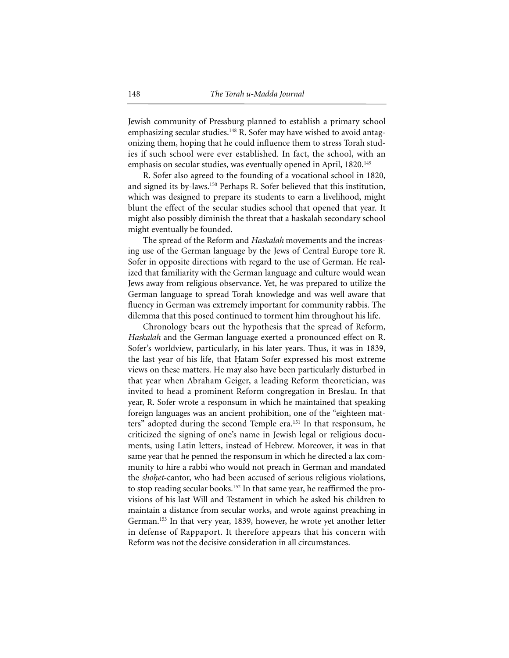Jewish community of Pressburg planned to establish a primary school emphasizing secular studies.<sup>148</sup> R. Sofer may have wished to avoid antagonizing them, hoping that he could influence them to stress Torah studies if such school were ever established. In fact, the school, with an emphasis on secular studies, was eventually opened in April, 1820.<sup>149</sup>

R. Sofer also agreed to the founding of a vocational school in 1820, and signed its by-laws.150 Perhaps R. Sofer believed that this institution, which was designed to prepare its students to earn a livelihood, might blunt the effect of the secular studies school that opened that year. It might also possibly diminish the threat that a haskalah secondary school might eventually be founded.

The spread of the Reform and *Haskalah* movements and the increasing use of the German language by the Jews of Central Europe tore R. Sofer in opposite directions with regard to the use of German. He realized that familiarity with the German language and culture would wean Jews away from religious observance. Yet, he was prepared to utilize the German language to spread Torah knowledge and was well aware that fluency in German was extremely important for community rabbis. The dilemma that this posed continued to torment him throughout his life.

Chronology bears out the hypothesis that the spread of Reform, *Haskalah* and the German language exerted a pronounced effect on R. Sofer's worldview, particularly, in his later years. Thus, it was in 1839, the last year of his life, that Hatam Sofer expressed his most extreme views on these matters. He may also have been particularly disturbed in that year when Abraham Geiger, a leading Reform theoretician, was invited to head a prominent Reform congregation in Breslau. In that year, R. Sofer wrote a responsum in which he maintained that speaking foreign languages was an ancient prohibition, one of the "eighteen matters" adopted during the second Temple era.151 In that responsum, he criticized the signing of one's name in Jewish legal or religious documents, using Latin letters, instead of Hebrew. Moreover, it was in that same year that he penned the responsum in which he directed a lax community to hire a rabbi who would not preach in German and mandated the *shohet*-cantor, who had been accused of serious religious violations, to stop reading secular books.152 In that same year, he reaffirmed the provisions of his last Will and Testament in which he asked his children to maintain a distance from secular works, and wrote against preaching in German.<sup>153</sup> In that very year, 1839, however, he wrote yet another letter in defense of Rappaport. It therefore appears that his concern with Reform was not the decisive consideration in all circumstances.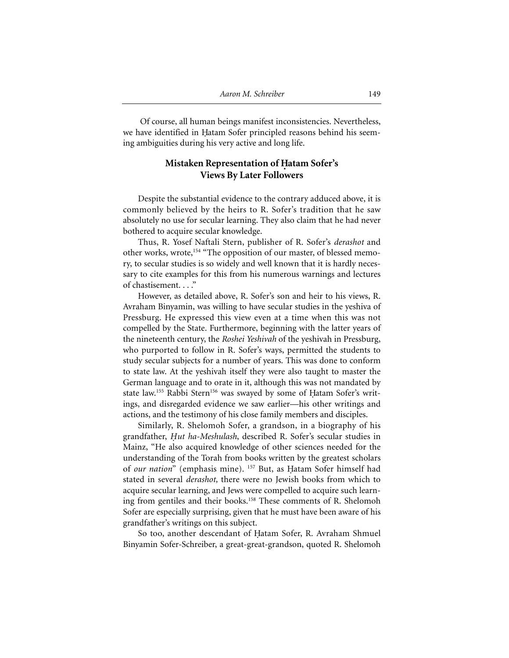Of course, all human beings manifest inconsistencies. Nevertheless, we have identified in Hatam Sofer principled reasons behind his seeming ambiguities during his very active and long life.

# **Mistaken Representation of Hatam Sofer's Views By Later Followers**

Despite the substantial evidence to the contrary adduced above, it is commonly believed by the heirs to R. Sofer's tradition that he saw absolutely no use for secular learning. They also claim that he had never bothered to acquire secular knowledge.

Thus, R. Yosef Naftali Stern, publisher of R. Sofer's *derashot* and other works, wrote,154 "The opposition of our master, of blessed memory, to secular studies is so widely and well known that it is hardly necessary to cite examples for this from his numerous warnings and lectures of chastisement. . . ."

However, as detailed above, R. Sofer's son and heir to his views, R. Avraham Binyamin, was willing to have secular studies in the yeshiva of Pressburg. He expressed this view even at a time when this was not compelled by the State. Furthermore, beginning with the latter years of the nineteenth century, the *Roshei Yeshivah* of the yeshivah in Pressburg, who purported to follow in R. Sofer's ways, permitted the students to study secular subjects for a number of years. This was done to conform to state law. At the yeshivah itself they were also taught to master the German language and to orate in it, although this was not mandated by state law.<sup>155</sup> Rabbi Stern<sup>156</sup> was swayed by some of Hatam Sofer's writings, and disregarded evidence we saw earlier—his other writings and actions, and the testimony of his close family members and disciples.

Similarly, R. Shelomoh Sofer, a grandson, in a biography of his grandfather, *Hut ha-Meshulash*, described R. Sofer's secular studies in Mainz, "He also acquired knowledge of other sciences needed for the understanding of the Torah from books written by the greatest scholars of *our nation*" (emphasis mine). <sup>157</sup> But, as Hatam Sofer himself had stated in several *derashot,* there were no Jewish books from which to acquire secular learning, and Jews were compelled to acquire such learning from gentiles and their books.158 These comments of R. Shelomoh Sofer are especially surprising, given that he must have been aware of his grandfather's writings on this subject.

So too, another descendant of Hatam Sofer, R. Avraham Shmuel Binyamin Sofer-Schreiber, a great-great-grandson, quoted R. Shelomoh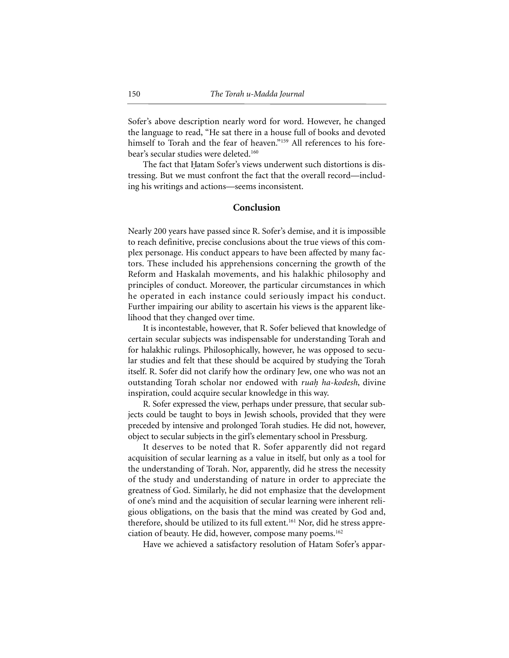Sofer's above description nearly word for word. However, he changed the language to read, "He sat there in a house full of books and devoted himself to Torah and the fear of heaven."159 All references to his forebear's secular studies were deleted.160

The fact that Hatam Sofer's views underwent such distortions is distressing. But we must confront the fact that the overall record—including his writings and actions—seems inconsistent.

#### **Conclusion**

Nearly 200 years have passed since R. Sofer's demise, and it is impossible to reach definitive, precise conclusions about the true views of this complex personage. His conduct appears to have been affected by many factors. These included his apprehensions concerning the growth of the Reform and Haskalah movements, and his halakhic philosophy and principles of conduct. Moreover, the particular circumstances in which he operated in each instance could seriously impact his conduct. Further impairing our ability to ascertain his views is the apparent likelihood that they changed over time.

It is incontestable, however, that R. Sofer believed that knowledge of certain secular subjects was indispensable for understanding Torah and for halakhic rulings. Philosophically, however, he was opposed to secular studies and felt that these should be acquired by studying the Torah itself. R. Sofer did not clarify how the ordinary Jew, one who was not an outstanding Torah scholar nor endowed with *ruah. ha-kodesh*, divine inspiration, could acquire secular knowledge in this way.

R. Sofer expressed the view, perhaps under pressure, that secular subjects could be taught to boys in Jewish schools, provided that they were preceded by intensive and prolonged Torah studies. He did not, however, object to secular subjects in the girl's elementary school in Pressburg.

It deserves to be noted that R. Sofer apparently did not regard acquisition of secular learning as a value in itself, but only as a tool for the understanding of Torah. Nor, apparently, did he stress the necessity of the study and understanding of nature in order to appreciate the greatness of God. Similarly, he did not emphasize that the development of one's mind and the acquisition of secular learning were inherent religious obligations, on the basis that the mind was created by God and, therefore, should be utilized to its full extent.<sup>161</sup> Nor, did he stress appreciation of beauty. He did, however, compose many poems.162

Have we achieved a satisfactory resolution of Hatam Sofer's appar-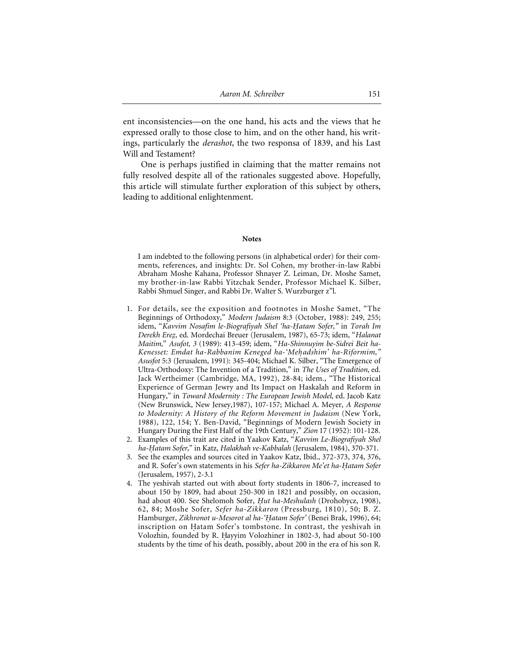ent inconsistencies—on the one hand, his acts and the views that he expressed orally to those close to him, and on the other hand, his writings, particularly the *derashot*, the two responsa of 1839, and his Last Will and Testament?

One is perhaps justified in claiming that the matter remains not fully resolved despite all of the rationales suggested above. Hopefully, this article will stimulate further exploration of this subject by others, leading to additional enlightenment.

#### **Notes**

I am indebted to the following persons (in alphabetical order) for their comments, references, and insights: Dr. Sol Cohen, my brother-in-law Rabbi Abraham Moshe Kahana, Professor Shnayer Z. Leiman, Dr. Moshe Samet, my brother-in-law Rabbi Yitzchak Sender, Professor Michael K. Silber, Rabbi Shmuel Singer, and Rabbi Dr. Walter S. Wurzburger z"l.

- 1. For details, see the exposition and footnotes in Moshe Samet, "The Beginnings of Orthodoxy," *Modern Judaism* 8:3 (October, 1988): 249, 255; idem, "*Kavvim Nosafim le-Biografiyah Shel 'ha-H. atam Sofer,"* in *Torah Im Derekh Erez. ,* ed. Mordechai Breuer (Jerusalem, 1987), 65-73; idem, "*Halanat Maitim,*" *Asufot, 3* (1989): 413-459; idem, "*Ha-Shinnuyim be-Sidrei Beit ha-Kenesset: Emdat ha-Rabbanim Keneged ha-'Meh. adshim' ha-Riformim," Asusfot* 5:3 (Jerusalem, 1991): 345-404; Michael K. Silber, "The Emergence of Ultra-Orthodoxy: The Invention of a Tradition," in *The Uses of Tradition,* ed. Jack Wertheimer (Cambridge, MA, 1992), 28-84; idem., "The Historical Experience of German Jewry and Its Impact on Haskalah and Reform in Hungary," in *Toward Modernity : The European Jewish Model,* ed. Jacob Katz (New Brunswick, New Jersey,1987), 107-157; Michael A. Meyer, *A Response to Modernity: A History of the Reform Movement in Judaism* (New York, 1988), 122, 154; Y. Ben-David, "Beginnings of Modern Jewish Society in Hungary During the First Half of the 19th Century," *Zion* 17 (1952): 101-128.
- 2. Examples of this trait are cited in Yaakov Katz, "*Kavvim Le-Biografiyah Shel ha-H. atam Sofer,*" in Katz, *Halakhah ve-Kabbalah* (Jerusalem, 1984), 370-371.
- 3. See the examples and sources cited in Yaakov Katz, Ibid., 372-373, 374, 376, and R. Sofer's own statements in his *Sefer ha-Zikkaron Me'et ha-H. atam Sofer* (Jerusalem, 1957), 2-3.1
- 4. The yeshivah started out with about forty students in 1806-7, increased to about 150 by 1809, had about 250-300 in 1821 and possibly, on occasion, had about 400. See Shelomoh Sofer, *Hut ha-Meshulash* (Drohobycz, 1908), 62, 84; Moshe Sofer, *Sefer ha-Zikkaron* (Pressburg, 1810), 50; B. Z. Hamburger, *Zikhronot u-Mesorot al ha-'H. atam Sofer'* (Benei Brak, 1996), 64; inscription on Hatam Sofer's tombstone. In contrast, the yeshivah in Volozhin, founded by R. Hayyim Volozhiner in 1802-3, had about 50-100 students by the time of his death, possibly, about 200 in the era of his son R.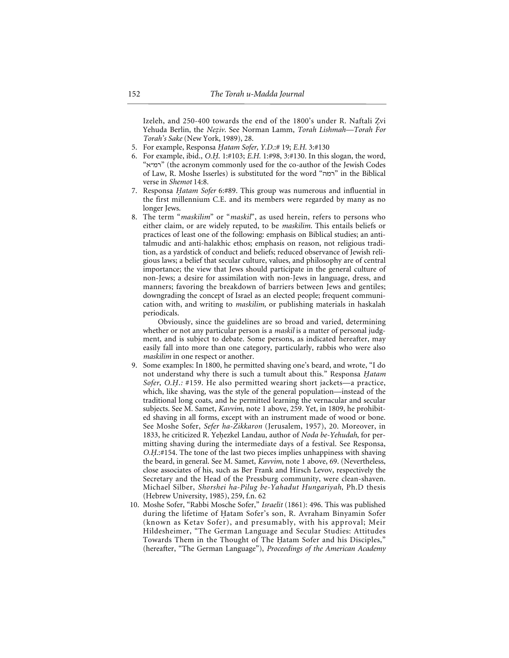Izeleh, and 250-400 towards the end of the 1800's under R. Naftali Zvi Yehuda Berlin, the *Neziv*. See Norman Lamm, *Torah Lishmah—Torah For Torah's Sake* (New York, 1989), 28.

- 5. For example, Responsa *H. atam Sofer, Y.D*.:# 19; *E.H*. 3:#130
- 6. For example, ibid., *O.H.* . 1:#103; *E.H.* 1:#98, 3:#130. In this slogan, the word, "רמ"א" (the acronym commonly used for the co-author of the Jewish Codes of Law, R. Moshe Isserles) is substituted for the word "רמה" in the Biblical verse in *Shemot* 14:8.
- 7. Responsa *Hatam Sofer* 6:#89. This group was numerous and influential in the first millennium C.E. and its members were regarded by many as no longer Jews.
- 8. The term "*maskilim*" or "*maskil*", as used herein, refers to persons who either claim, or are widely reputed, to be *maskilim*. This entails beliefs or practices of least one of the following: emphasis on Biblical studies; an antitalmudic and anti-halakhic ethos; emphasis on reason, not religious tradition, as a yardstick of conduct and beliefs; reduced observance of Jewish religious laws; a belief that secular culture, values, and philosophy are of central importance; the view that Jews should participate in the general culture of non-Jews; a desire for assimilation with non-Jews in language, dress, and manners; favoring the breakdown of barriers between Jews and gentiles; downgrading the concept of Israel as an elected people; frequent communication with, and writing to *maskilim*, or publishing materials in haskalah periodicals.

Obviously, since the guidelines are so broad and varied, determining whether or not any particular person is a *maskil* is a matter of personal judgment, and is subject to debate. Some persons, as indicated hereafter, may easily fall into more than one category, particularly, rabbis who were also *maskilim* in one respect or another.

- 9. Some examples: In 1800, he permitted shaving one's beard, and wrote, "I do not understand why there is such a tumult about this." Responsa *Hatam Sofer*, *O.H.*: #159. He also permitted wearing short jackets—a practice, which, like shaving, was the style of the general population—instead of the traditional long coats, and he permitted learning the vernacular and secular subjects. See M. Samet, *Kavvim*, note 1 above, 259. Yet, in 1809, he prohibited shaving in all forms, except with an instrument made of wood or bone. See Moshe Sofer, *Sefer ha-Zikkaron* (Jerusalem, 1957), 20. Moreover, in 1833, he criticized R. Yehezkel Landau, author of *Noda be-Yehudah*, for permitting shaving during the intermediate days of a festival. See Responsa, *O.H.*:#154. The tone of the last two pieces implies unhappiness with shaving the beard, in general. See M. Samet, *Kavvim*, note 1 above, 69. (Nevertheless, close associates of his, such as Ber Frank and Hirsch Levov, respectively the Secretary and the Head of the Pressburg community, were clean-shaven. Michael Silber, *Shorshei ha-Pilug be-Yahadut Hungariyah*, Ph.D thesis (Hebrew University, 1985), 259, f.n. 62
- 10. Moshe Sofer, "Rabbi Mosche Sofer," *Israelit* (1861): 496. This was published during the lifetime of Hatam Sofer's son, R. Avraham Binyamin Sofer (known as Ketav Sofer), and presumably, with his approval; Meir Hildesheimer, "The German Language and Secular Studies: Attitudes Towards Them in the Thought of The Hatam Sofer and his Disciples," (hereafter, "The German Language"), *Proceedings of the American Academy*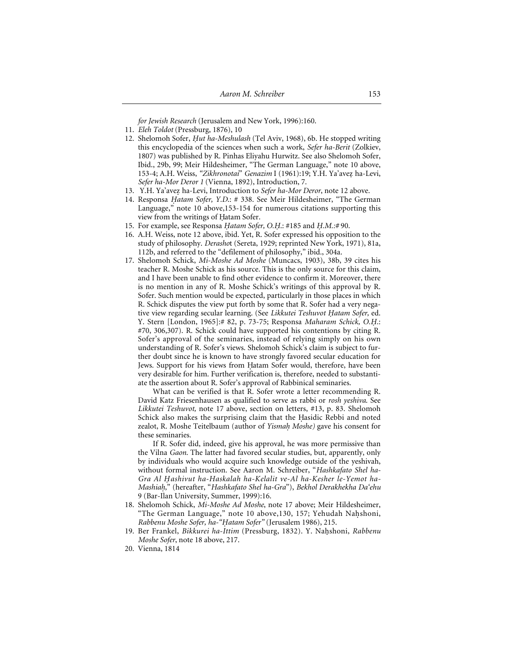*for Jewish Research* (Jerusalem and New York, 1996):160.

- 11. *Eleh Toldot* (Pressburg, 1876), 10
- 12. Shelomoh Sofer, *H. ut ha-Meshulash* (Tel Aviv, 1968), 6b. He stopped writing this encyclopedia of the sciences when such a work, *Sefer ha-Berit* (Zolkiev, 1807) was published by R. Pinhas Eliyahu Hurwitz. See also Shelomoh Sofer, Ibid., 29b, 99; Meir Hildesheimer, "The German Language," note 10 above, 153-4; A.H. Weiss, *"Zikhronotai*" *Genazim* I (1961):19; Y.H. Ya'avez. ha-Levi, *Sefer ha-Mor Deror 1* (Vienna, 1892), Introduction, 7.
- 13. Y.H. Ya'avez. ha-Levi, Introduction to *Sefer ha-Mor Deror*, note 12 above.
- 14. Responsa *Hatam Sofer, Y.D.*: # 338. See Meir Hildesheimer, "The German Language," note 10 above,153-154 for numerous citations supporting this view from the writings of Hatam Sofer.
- 15. For example, see Responsa *Hatam Sofer*, *O.H.*: #185 and *H.M.:*#90.
- 16. A.H. Weiss, note 12 above, ibid. Yet, R. Sofer expressed his opposition to the study of philosophy. *Derasho*t (Sereta, 1929; reprinted New York, 1971), 81a, 112b, and referred to the "defilement of philosophy," ibid., 304a.
- 17. Shelomoh Schick, *Mi-Moshe Ad Moshe* (Muncacs, 1903), 38b, 39 cites his teacher R. Moshe Schick as his source. This is the only source for this claim, and I have been unable to find other evidence to confirm it. Moreover, there is no mention in any of R. Moshe Schick's writings of this approval by R. Sofer. Such mention would be expected, particularly in those places in which R. Schick disputes the view put forth by some that R. Sofer had a very negative view regarding secular learning. (See *Likkutei Teshuvot Hatam Sofer*, ed. Y. Stern [London, 1965]:# 82, p. 73-75; Responsa *Maharam Schick, O.H.* .: #70, 306,307). R. Schick could have supported his contentions by citing R. Sofer's approval of the seminaries, instead of relying simply on his own understanding of R. Sofer's views. Shelomoh Schick's claim is subject to further doubt since he is known to have strongly favored secular education for Jews. Support for his views from Hatam Sofer would, therefore, have been very desirable for him. Further verification is, therefore, needed to substantiate the assertion about R. Sofer's approval of Rabbinical seminaries.

What can be verified is that R. Sofer wrote a letter recommending R. David Katz Friesenhausen as qualified to serve as rabbi or *rosh yeshiva*. See *Likkutei Teshuvot,* note 17 above, section on letters, #13, p. 83. Shelomoh Schick also makes the surprising claim that the Hasidic Rebbi and noted zealot, R. Moshe Teitelbaum (author of *Yismah. Moshe)* gave his consent for these seminaries.

If R. Sofer did, indeed, give his approval, he was more permissive than the Vilna *Gaon*. The latter had favored secular studies, but, apparently, only by individuals who would acquire such knowledge outside of the yeshivah, without formal instruction. See Aaron M. Schreiber, "*Hashkafato Shel ha-*Gra Al Hashivut ha-Haskalah ha-Kelalit ve-Al ha-Kesher le-Yemot ha-*Mashiah. ,*" (hereafter, "*Hashkafato Shel ha-Gra*"), *Bekhol Derakhekha Da'ehu* 9 (Bar-Ilan University, Summer, 1999):16.

- 18. Shelomoh Schick, *Mi-Moshe Ad Moshe*, note 17 above; Meir Hildesheimer, "The German Language," note 10 above, 130, 157; Yehudah Nahshoni, *Rabbenu Moshe Sofer, ha-"H. atam Sofer"* (Jerusalem 1986), 215.
- 19. Ber Frankel, *Bikkurei ha-Ittim* (Pressburg, 1832). Y. Nahshoni, *Rabbenu Moshe Sofer*, note 18 above, 217.
- 20. Vienna, 1814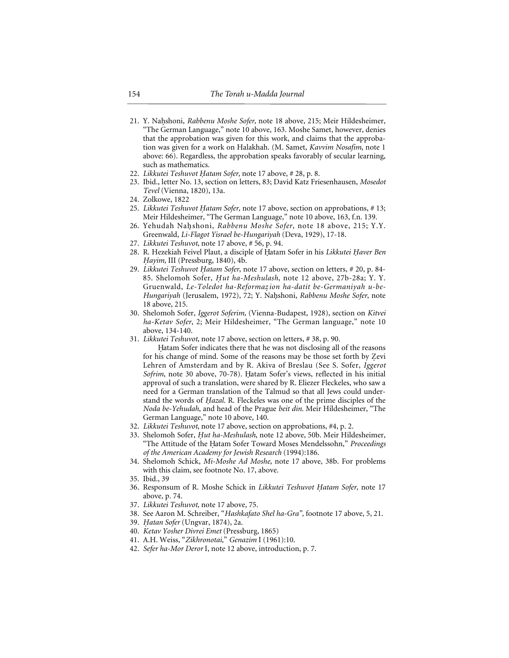- 21. Y. Nah.shoni, *Rabbenu Moshe Sofer,* note 18 above*,* 215; Meir Hildesheimer, "The German Language," note 10 above, 163. Moshe Samet, however, denies that the approbation was given for this work, and claims that the approbation was given for a work on Halakhah. (M. Samet, *Kavvim Nosafim*, note 1 above: 66). Regardless, the approbation speaks favorably of secular learning, such as mathematics.
- 22. *Likkutei Teshuvot Hatam Sofer*, note 17 above, #28, p. 8.
- 23. Ibid., letter No. 13, section on letters, 83; David Katz Friesenhausen, *Mosedot Tevel* (Vienna, 1820), 13a.
- 24. Zolkowe, 1822
- 25. *Likkutei Teshuvot Hatam Sofer*, note 17 above, section on approbations, #13; Meir Hildesheimer, "The German Language," note 10 above, 163, f.n. 139.
- 26. Yehudah Nahshoni, *Rabbenu Moshe Sofer*, note 18 above, 215; Y.Y. Greenwald, *Li-Flagot Yisrael be-Hungariyah* (Deva, 1929), 17-18.
- 27. *Likkutei Teshuvot*, note 17 above, # 56, p. 94.
- 28. R. Hezekiah Feivel Plaut, a disciple of Hatam Sofer in his *Likkutei Haver Ben H. ayim,* III (Pressburg, 1840), 4b.
- 29. *Likkutei Teshuvot Hatam Sofer*, note 17 above, section on letters, # 20, p. 84-85. Shelomoh Sofer, *Hut ha-Meshulash*, note 12 above, 27b-28a; Y.Y. Gruenwald, *Le-Toledot ha-Reformaz. ion ha-datit be-Germaniyah u-be-Hungariyah* (Jerusalem, 1972), 72; Y. Nahshoni, *Rabbenu Moshe Sofer*, note 18 above, 215.
- 30. Shelomoh Sofer, *Iggerot Soferim,* (Vienna-Budapest, 1928), section on *Kitvei ha-Ketav Sofer*, 2; Meir Hildesheimer, "The German language," note 10 above, 134-140.
- 31. *Likkutei Teshuvot*, note 17 above, section on letters, # 38, p. 90.

Hatam Sofer indicates there that he was not disclosing all of the reasons for his change of mind. Some of the reasons may be those set forth by Zevi Lehren of Amsterdam and by R. Akiva of Breslau (See S. Sofer, *Iggerot Sofrim*, note 30 above, 70-78). Hatam Sofer's views, reflected in his initial approval of such a translation, were shared by R. Eliezer Fleckeles, who saw a need for a German translation of the Talmud so that all Jews could understand the words of *Hazal*. R. Fleckeles was one of the prime disciples of the *Noda be-Yehudah*, and head of the Prague *beit din*. Meir Hildesheimer, "The German Language," note 10 above, 140.

- 32. *Likkutei Teshuvot*, note 17 above, section on approbations, #4, p. 2.
- 33. Shelomoh Sofer, *Hut ha-Meshulash*, note 12 above, 50b. Meir Hildesheimer, "The Attitude of the Hatam Sofer Toward Moses Mendelssohn," Proceedings *of the American Academy for Jewish Research* (1994):186.
- 34. Shelomoh Schick, *Mi-Moshe Ad Moshe*, note 17 above, 38b. For problems with this claim, see footnote No. 17, above.
- 35. Ibid., 39
- 36. Responsum of R. Moshe Schick in *Likkutei Teshuvot Hatam Sofer*, note 17 above*,* p*.* 74.
- 37. *Likkutei Teshuvot,* note 17 above*,* 75.
- 38. See Aaron M. Schreiber, "*Hashkafato Shel ha-Gra",* footnote 17 above, 5, 21.
- 39. *H. atan Sofer* (Ungvar, 1874), 2a.
- 40. *Ketav Yosher Divrei Emet* (Pressburg, 1865)
- 41. A.H. Weiss, "*Zikhronotai,*" *Genazim* I (1961):10.
- 42. *Sefer ha-Mor Deror* I, note 12 above, introduction, p. 7.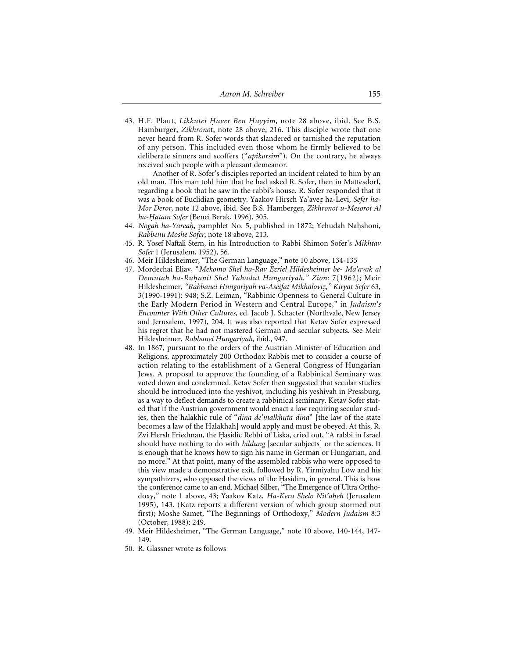43. H.F. Plaut, *Likkutei Haver Ben Hayyim*, note 28 above, ibid. See B.S. Hamburger, *Zikhrono*t, note 28 above, 216. This disciple wrote that one never heard from R. Sofer words that slandered or tarnished the reputation of any person. This included even those whom he firmly believed to be deliberate sinners and scoffers ("*apikorsim*"). On the contrary, he always received such people with a pleasant demeanor.

Another of R. Sofer's disciples reported an incident related to him by an old man. This man told him that he had asked R. Sofer, then in Mattesdorf, regarding a book that he saw in the rabbi's house. R. Sofer responded that it was a book of Euclidian geometry. Yaakov Hirsch Ya'ave*z.* ha-Levi*, Sefer ha-Mor Deror*, note 12 above, ibid. See B.S. Hamberger, *Zikhronot u-Mesorot Al ha-H. atam Sofer* (Benei Berak, 1996), 305.

- 44. *Nogah ha-Yareah*, pamphlet No. 5, published in 1872; Yehudah Nahshoni, *Rabbenu Moshe Sofer*, note 18 above, 213.
- 45. R. Yosef Naftali Stern, in his Introduction to Rabbi Shimon Sofer's *Mikhtav Sofer* 1 (Jerusalem, 1952), 56.
- 46. Meir Hildesheimer, "The German Language," note 10 above, 134-135
- 47. Mordechai Eliav, "*Mekomo Shel ha-Rav Ezriel Hildesheimer be- Ma'avak al Demutah ha-Ruh. anit Shel Yahadut Hungariyah," Zion:* 7(1962); Meir Hildesheimer, *"Rabbanei Hungariyah va-Aseifat Mikhaloviz. ," Kiryat Sefer* 63, 3(1990-1991): 948; S.Z. Leiman, "Rabbinic Openness to General Culture in the Early Modern Period in Western and Central Europe," in *Judaism's Encounter With Other Cultures,* ed*.* Jacob J. Schacter (Northvale, New Jersey and Jerusalem, 1997), 204. It was also reported that Ketav Sofer expressed his regret that he had not mastered German and secular subjects. See Meir Hildesheimer, *Rabbanei Hungariyah*, ibid., 947.
- 48. In 1867, pursuant to the orders of the Austrian Minister of Education and Religions, approximately 200 Orthodox Rabbis met to consider a course of action relating to the establishment of a General Congress of Hungarian Jews. A proposal to approve the founding of a Rabbinical Seminary was voted down and condemned. Ketav Sofer then suggested that secular studies should be introduced into the yeshivot, including his yeshivah in Pressburg, as a way to deflect demands to create a rabbinical seminary. Ketav Sofer stated that if the Austrian government would enact a law requiring secular studies, then the halakhic rule of "*dina de'malkhuta dina*" [the law of the state becomes a law of the Halakhah] would apply and must be obeyed. At this, R. Zvi Hersh Friedman, the Hasidic Rebbi of Liska, cried out, "A rabbi in Israel should have nothing to do with *bildung* [secular subjects] or the sciences. It is enough that he knows how to sign his name in German or Hungarian, and no more." At that point, many of the assembled rabbis who were opposed to this view made a demonstrative exit, followed by R. Yirmiyahu Löw and his sympathizers, who opposed the views of the Hasidim, in general. This is how the conference came to an end. Michael Silber, "The Emergence of Ultra Orthodoxy," note 1 above, 43; Yaakov Katz, *Ha-Kera Shelo Nit'aheh* (Jerusalem 1995), 143. (Katz reports a different version of which group stormed out first); Moshe Samet, "The Beginnings of Orthodoxy," *Modern Judaism* 8:3 (October, 1988): 249.
- 49. Meir Hildesheimer, "The German Language," note 10 above, 140-144, 147- 149.
- 50. R. Glassner wrote as follows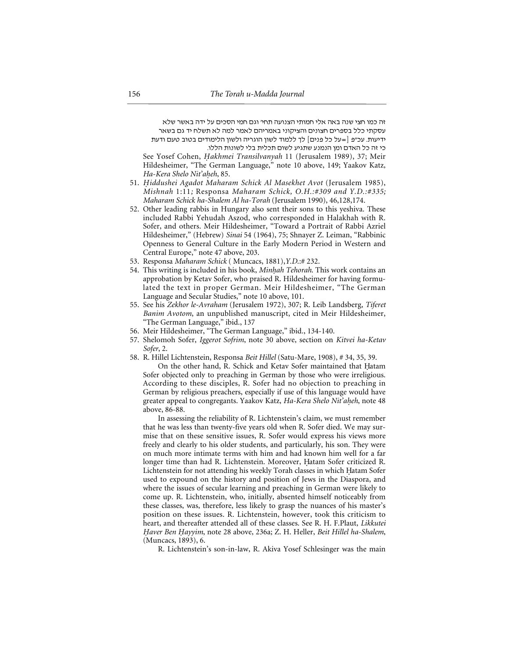זה כמו חצי שנה באה אלי חמותי הצנועה תחי׳ וגם חמי הסכים על ידה באשר שלא עסקתי כלל בספרים חצונים והציקוני באמריהם לאמר למה לא תשלח יד גם בשאר ידיעות. עכ״פ [=על כל פנים] לך ללמוד לשון הוגריה ולשון הלימודים בטוב טעם ודעת

כי זה כל האדם ומן הנמנע שתגיע לשום תכלית בלי לשונות הללו. See Yosef Cohen, *Hakhmei Transilvanyah* 11 (Jerusalem 1989), 37; Meir Hildesheimer, "The German Language," note 10 above, 149; Yaakov Katz*, Ha-Kera Shelo Nit'ah.eh*, 85.

- 51. *H. iddushei Agadot Maharam Schick Al Masekhet Avot* (Jerusalem 1985), *Mishnah* 1:11*;* Responsa *Maharam Schick, O.H.:#309 and Y.D.:#335; Maharam Schick ha-Shalem Al ha-Torah* (Jerusalem 1990), 46,128,174.
- 52. Other leading rabbis in Hungary also sent their sons to this yeshiva. These included Rabbi Yehudah Aszod, who corresponded in Halakhah with R. Sofer, and others. Meir Hildesheimer, "Toward a Portrait of Rabbi Azriel Hildesheimer," (Hebrew) *Sinai* 54 (1964), 75; Shnayer Z. Leiman, "Rabbinic Openness to General Culture in the Early Modern Period in Western and Central Europe," note 47 above, 203.
- 53. Responsa *Maharam Schick* ( Muncacs, 1881),*Y.D*.:# 232.
- 54. This writing is included in his book, *Minhah Tehorah*. This work contains an approbation by Ketav Sofer, who praised R. Hildesheimer for having formulated the text in proper German. Meir Hildesheimer, "The German Language and Secular Studies," note 10 above, 101.
- 55. See his *Zekhor le-Avraham* (Jerusalem 1972), 307; R. Leib Landsberg, *Tiferet Banim Avotom*, an unpublished manuscript, cited in Meir Hildesheimer, "The German Language," ibid., 137
- 56. Meir Hildesheimer, "The German Language," ibid., 134-140.
- 57. Shelomoh Sofer, *Iggerot Sofrim*, note 30 above, section on *Kitvei ha-Ketav Sofer*, 2.
- 58. R. Hillel Lichtenstein, Responsa *Beit Hillel* (Satu-Mare, 1908), # 34, 35, 39.

On the other hand, R. Schick and Ketav Sofer maintained that Hatam Sofer objected only to preaching in German by those who were irreligious. According to these disciples, R. Sofer had no objection to preaching in German by religious preachers, especially if use of this language would have greater appeal to congregants. Yaakov Katz, *Ha-Kera Shelo Nit'aheh*, note 48 above, 86-88.

In assessing the reliability of R. Lichtenstein's claim, we must remember that he was less than twenty-five years old when R. Sofer died. We may surmise that on these sensitive issues, R. Sofer would express his views more freely and clearly to his older students, and particularly, his son. They were on much more intimate terms with him and had known him well for a far longer time than had R. Lichtenstein. Moreover, Hatam Sofer criticized R. Lichtenstein for not attending his weekly Torah classes in which Hatam Sofer used to expound on the history and position of Jews in the Diaspora, and where the issues of secular learning and preaching in German were likely to come up. R. Lichtenstein, who, initially, absented himself noticeably from these classes, was, therefore, less likely to grasp the nuances of his master's position on these issues. R. Lichtenstein, however, took this criticism to heart, and thereafter attended all of these classes. See R. H. F.Plaut, *Likkutei H. aver Ben H. ayyim*, note 28 above, 236a; Z. H. Heller, *Beit Hillel ha-Shalem*, (Muncacs, 1893), 6.

R. Lichtenstein's son-in-law, R. Akiva Yosef Schlesinger was the main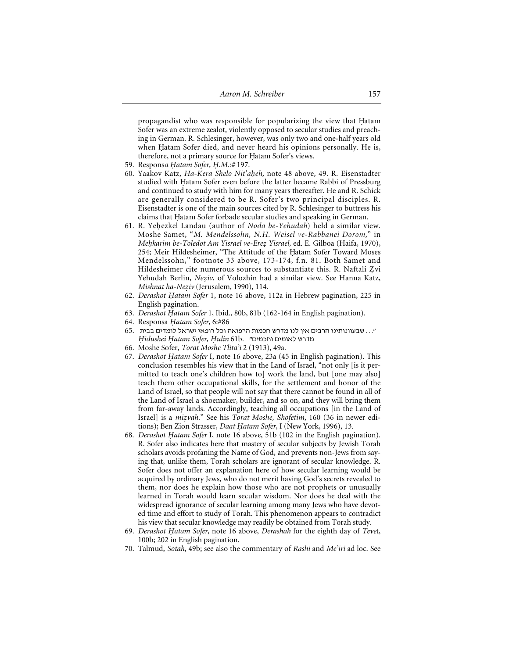propagandist who was responsible for popularizing the view that Hatam Sofer was an extreme zealot, violently opposed to secular studies and preaching in German. R. Schlesinger, however, was only two and one-half years old when Hatam Sofer died, and never heard his opinions personally. He is, therefore, not a primary source for Hatam Sofer's views.

- 59. Respons*a H. atam Sofer, H. .M.:#* 197.
- 60. Yaakov Katz, *Ha-Kera Shelo Nit'aheh*, note 48 above, 49. R. Eisenstadter studied with Hatam Sofer even before the latter became Rabbi of Pressburg and continued to study with him for many years thereafter. He and R. Schick are generally considered to be R. Sofer's two principal disciples. R. Eisenstadter is one of the main sources cited by R. Schlesinger to buttress his claims that Hatam Sofer forbade secular studies and speaking in German.
- 61. R. Yehezkel Landau (author of *Noda be-Yehudah*) held a similar view. Moshe Samet, "*M. Mendelssohn, N.H. Weisel ve-Rabbanei Dorom,*" in *Meh. karim be-Toledot Am Yisrael ve-Erez. Yisrael,* ed. E. Gilboa (Haifa, 1970), 254; Meir Hildesheimer, "The Attitude of the Hatam Sofer Toward Moses Mendelssohn," footnote 33 above, 173-174, f.n. 81. Both Samet and Hildesheimer cite numerous sources to substantiate this. R. Naftali Zvi Yehudah Berlin, *Neziv*, of Volozhin had a similar view. See Hanna Katz, *Mishnat ha-Neziv* (Jerusalem, 1990), 114.
- 62. *Derashot H. atam Sofer* 1, note 16 above, 112a in Hebrew pagination, 225 in English pagination.
- 63. *Derashot H. atam Sofer* 1, Ibid., 80b, 81b (162-164 in English pagination).
- 64. Responsa *H. atam Sofer*, 6:#86
- 65. . שבעוונותינו הרבים אין לנו מדרש חכמות הרפואה וכל רופאי ישראל לומדים בבית. *H. idushei H. atam Sofer, H. ulin* 61b. ''ohnfju ohnutk arsn
- 66. Moshe Sofer, *Torat Moshe Tlita'i* 2 (1913), 49a.
- 67. *Derashot Hatam Sofer* I, note 16 above, 23a (45 in English pagination). This conclusion resembles his view that in the Land of Israel, "not only [is it permitted to teach one's children how to] work the land, but [one may also] teach them other occupational skills, for the settlement and honor of the Land of Israel, so that people will not say that there cannot be found in all of the Land of Israel a shoemaker, builder, and so on, and they will bring them from far-away lands. Accordingly, teaching all occupations [in the Land of Israel] is a *mizvah*." See his *Torat Moshe*, *Shofetim*, 160 (36 in newer editions); Ben Zion Strasser, *Daat Hatam Sofer*, I (New York, 1996), 13.
- 68. *Derashot Hatam Sofer* I, note 16 above, 51b (102 in the English pagination). R. Sofer also indicates here that mastery of secular subjects by Jewish Torah scholars avoids profaning the Name of God, and prevents non-Jews from saying that, unlike them, Torah scholars are ignorant of secular knowledge. R. Sofer does not offer an explanation here of how secular learning would be acquired by ordinary Jews, who do not merit having God's secrets revealed to them, nor does he explain how those who are not prophets or unusually learned in Torah would learn secular wisdom. Nor does he deal with the widespread ignorance of secular learning among many Jews who have devoted time and effort to study of Torah. This phenomenon appears to contradict his view that secular knowledge may readily be obtained from Torah study.
- 69. *Derashot H. atam Sofer*, note 16 above, *Derashah* for the eighth day of *Teve*t, 100b; 202 in English pagination.
- 70. Talmud, *Sotah*, 49b; see also the commentary of *Rashi* and *Me'iri* ad loc. See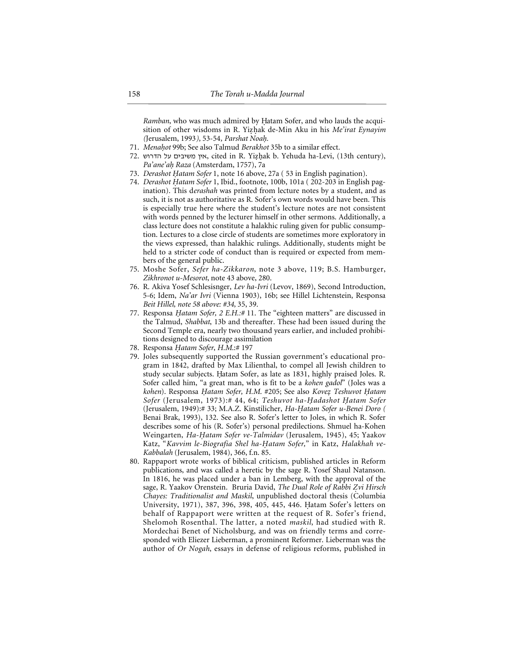*Ramban*, who was much admired by Hatam Sofer, and who lauds the acquisition of other wisdoms in R. Yizhak de-Min Aku in his *Me'irat Eynayim (*Jerusalem, 1993*),* 53-54*, Parshat Noah. .*

- 71. *Menahot* 99b; See also Talmud *Berakhot* 35b to a similar effect.
- 72. אין משיבים על הדרוש, cited in R. Yizhak b. Yehuda ha-Levi, (13th century), *Pa'ane'ah. Raza* (Amsterdam, 1757), 7a
- 73. *Derashot Hatam Sofer 1*, note 16 above, 27a (53 in English pagination).
- 74. *Derashot Hatam Sofer 1*, Ibid., footnote, 100b, 101a (202-203 in English pagination). This d*erashah* was printed from lecture notes by a student, and as such, it is not as authoritative as R. Sofer's own words would have been. This is especially true here where the student's lecture notes are not consistent with words penned by the lecturer himself in other sermons. Additionally, a class lecture does not constitute a halakhic ruling given for public consumption. Lectures to a close circle of students are sometimes more exploratory in the views expressed, than halakhic rulings. Additionally, students might be held to a stricter code of conduct than is required or expected from members of the general public.
- 75. Moshe Sofer, *Sefer ha-Zikkaron*, note 3 above, 119; B.S. Hamburger, *Zikhronot u-Mesorot*, note 43 above, 280.
- 76. R. Akiva Yosef Schlesisnger, *Lev ha-Ivri* (Levov, 1869), Second Introduction, 5-6; Idem, *Na'ar Ivri* (Vienna 1903), 16b; see Hillel Lichtenstein, Responsa *Beit Hillel, note 58 above: #34,* 35, 39.
- 77. Responsa *Hatam Sofer, 2 E.H.:#* 11. The "eighteen matters" are discussed in the Talmud, *Shabbat*, 13b and thereafter. These had been issued during the Second Temple era, nearly two thousand years earlier, and included prohibitions designed to discourage assimilation
- 78. Responsa *Hatam Sofer*, *H.M.*:# 197
- 79. Joles subsequently supported the Russian government's educational program in 1842, drafted by Max Lilienthal, to compel all Jewish children to study secular subjects. Hatam Sofer, as late as 1831, highly praised Joles. R. Sofer called him, "a great man, who is fit to be a *kohen gadol*" (Joles was a *kohen*). Responsa *H. atam Sofer, H.M*. #205; See also *Kovez. Teshuvot H. atam Sofer* (Jerusalem, 1973):# 44, 64; *Teshuvot ha-H. adashot H. atam Sofer* (Jerusalem, 1949):# 33; M.A.Z. Kinstilicher, *Ha-H. atam Sofer u-Benei Doro (* Benai Brak, 1993), 132. See also R. Sofer's letter to Joles, in which R. Sofer describes some of his (R. Sofer's) personal predilections. Shmuel ha-Kohen Weingarten, *Ha-H. atam Sofer ve-Talmidav* (Jerusalem, 1945), 45; Yaakov Katz, "Kavvim le-Biografia Shel ha-Hatam Sofer," in Katz, Halakhah ve-*Kabbalah* (Jerusalem, 1984), 366, f.n. 85.
- 80. Rappaport wrote works of biblical criticism, published articles in Reform publications, and was called a heretic by the sage R. Yosef Shaul Natanson. In 1816, he was placed under a ban in Lemberg, with the approval of the sage, R. Yaakov Orenstein. Bruria David, *The Dual Role of Rabbi Zvi Hirsch Chayes: Traditionalist and Maskil*, unpublished doctoral thesis (Columbia University, 1971), 387, 396, 398, 405, 445, 446. Hatam Sofer's letters on behalf of Rappaport were written at the request of R. Sofer's friend, Shelomoh Rosenthal. The latter, a noted *maskil*, had studied with R. Mordechai Benet of Nicholsburg, and was on friendly terms and corresponded with Eliezer Lieberman, a prominent Reformer. Lieberman was the author of *Or Nogah*, essays in defense of religious reforms, published in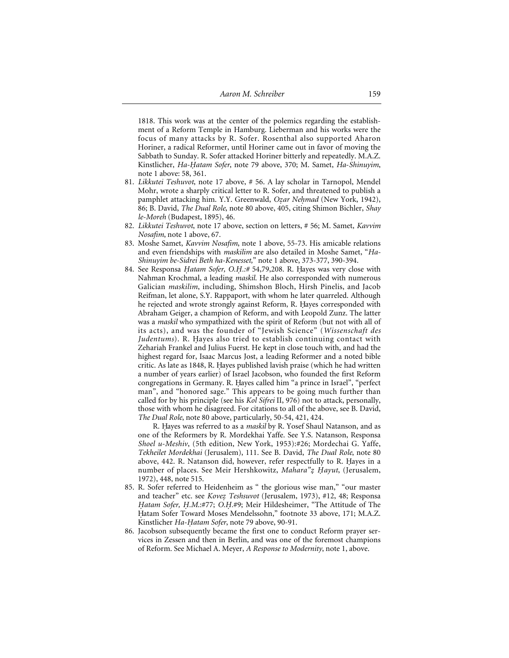1818. This work was at the center of the polemics regarding the establishment of a Reform Temple in Hamburg. Lieberman and his works were the focus of many attacks by R. Sofer. Rosenthal also supported Aharon Horiner, a radical Reformer, until Horiner came out in favor of moving the Sabbath to Sunday. R. Sofer attacked Horiner bitterly and repeatedly. M.A.Z. Kinstlicher, *Ha-H. atam Sofer*, note 79 above, 370; M. Samet, *Ha*-*Shinuyim*, note 1 above: 58, 361.

- 81. *Likkutei Teshuvot*, note 17 above, # 56. A lay scholar in Tarnopol, Mendel Mohr, wrote a sharply critical letter to R. Sofer, and threatened to publish a pamphlet attacking him. Y.Y. Greenwald, *Ozar Nehmad* (New York, 1942), 86; B. David, *The Dual Role*, note 80 above, 405, citing Shimon Bichler, *Shay le-Moreh* (Budapest, 1895), 46.
- 82. *Likkutei Teshuvot*, note 17 above, section on letters, # 56; M. Samet, *Kavvim Nosafim*, note 1 above, 67.
- 83. Moshe Samet, *Kavvim Nosafim*, note 1 above, 55-73. His amicable relations and even friendships with *maskilim* are also detailed in Moshe Samet, "*Ha-Shinuyim be-Sidrei Beth ha-Kenesset,*" note 1 above, 373-377, 390-394.
- 84. See Responsa *Hatam Sofer*, O.H.:# 54,79,208. R. Hayes was very close with Nahman Krochmal, a leading *maskil*. He also corresponded with numerous Galician *maskilim*, including, Shimshon Bloch, Hirsh Pinelis, and Jacob Reifman, let alone, S.Y. Rappaport, with whom he later quarreled. Although he rejected and wrote strongly against Reform, R. Hayes corresponded with Abraham Geiger, a champion of Reform, and with Leopold Zunz. The latter was a *maskil* who sympathized with the spirit of Reform (but not with all of its acts), and was the founder of "Jewish Science" (*Wissenschaft des Judentums*). R. Hayes also tried to establish continuing contact with Zehariah Frankel and Julius Fuerst. He kept in close touch with, and had the highest regard for, Isaac Marcus Jost, a leading Reformer and a noted bible critic. As late as 1848, R. Hayes published lavish praise (which he had written a number of years earlier) of Israel Jacobson, who founded the first Reform congregations in Germany. R. Hayes called him "a prince in Israel", "perfect man", and "honored sage." This appears to be going much further than called for by his principle (see his *Kol Sifrei* II, 976) not to attack, personally, those with whom he disagreed. For citations to all of the above, see B. David, *The Dual Role*, note 80 above, particularly, 50-54, 421, 424.

R. Hayes was referred to as a *maskil* by R. Yosef Shaul Natanson, and as one of the Reformers by R. Mordekhai Yaffe. See Y.S. Natanson, Responsa *Shoel u-Meshiv*, (5th edition, New York, 1953):#26; Mordechai G. Yaffe, *Tekheilet Mordekhai* (Jerusalem), 111. See B. David, *The Dual Role*, note 80 above, 442. R. Natanson did, however, refer respectfully to R. Hayes in a number of places. See Meir Hershkowitz, *Mahara"z. H. ayut*, (Jerusalem, 1972), 448, note 515.

- 85. R. Sofer referred to Heidenheim as " the glorious wise man," "our master and teacher" etc. see *Kovez. Teshsuvot* (Jerusalem, 1973), #12, 48; Responsa *H. atam Sofer, H. .M*.:#77; *O.H. .*#9; Meir Hildesheimer, "The Attitude of The Hatam Sofer Toward Moses Mendelssohn," footnote 33 above, 171; M.A.Z. Kinstlicher *Ha-Hatam Sofer*, note 79 above, 90-91.
- 86. Jacobson subsequently became the first one to conduct Reform prayer services in Zessen and then in Berlin, and was one of the foremost champions of Reform. See Michael A. Meyer, *A Response to Modernity*, note 1, above.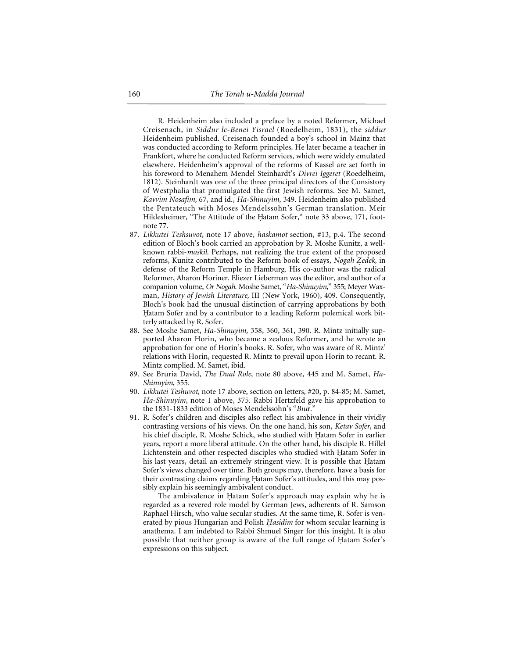R. Heidenheim also included a preface by a noted Reformer, Michael Creisenach, in *Siddur le-Benei Yisrael* (Roedelheim, 1831), the *siddur* Heidenheim published. Creisenach founded a boy's school in Mainz that was conducted according to Reform principles. He later became a teacher in Frankfort, where he conducted Reform services, which were widely emulated elsewhere. Heidenheim's approval of the reforms of Kassel are set forth in his foreword to Menahem Mendel Steinhardt's *Divrei Iggeret* (Roedelheim, 1812). Steinhardt was one of the three principal directors of the Consistory of Westphalia that promulgated the first Jewish reforms. See M. Samet, *Kavvim Nosafim,* 67, and id., *Ha-Shinuyim*, 349. Heidenheim also published the Pentateuch with Moses Mendelssohn's German translation. Meir Hildesheimer, "The Attitude of the Hatam Sofer," note 33 above, 171, footnote 77.

- 87. *Likkutei Teshsuvot*, note 17 above*, haskamot* section, #13, p.4. The second edition of Bloch's book carried an approbation by R. Moshe Kunitz, a wellknown rabbi-*maskil*. Perhaps, not realizing the true extent of the proposed reforms, Kunitz contributed to the Reform book of essays, *Nogah Zedek*, in defense of the Reform Temple in Hamburg. His co-author was the radical Reformer, Aharon Horiner. Eliezer Lieberman was the editor, and author of a companion volume, *Or Nogah*. Moshe Samet, "*Ha-Shinuyim,*" 355; Meyer Waxman, *History of Jewish Literature,* III (New York, 1960), 409. Consequently, Bloch's book had the unusual distinction of carrying approbations by both Hatam Sofer and by a contributor to a leading Reform polemical work bitterly attacked by R. Sofer.
- 88. See Moshe Samet, *Ha-Shinuyim,* 358, 360, 361, 390. R. Mintz initially supported Aharon Horin, who became a zealous Reformer, and he wrote an approbation for one of Horin's books. R. Sofer, who was aware of R. Mintz' relations with Horin, requested R. Mintz to prevail upon Horin to recant. R. Mintz complied. M. Samet, ibid.
- 89. See Bruria David, *The Dual Role*, note 80 above, 445 and M. Samet, *Ha-Shinuyim,* 355.
- 90. *Likkutei Teshuvot*, note 17 above, section on letters, #20, p. 84-85; M. Samet, *Ha-Shinuyim,* note 1 above, 375. Rabbi Hertzfeld gave his approbation to the 1831-1833 edition of Moses Mendelssohn's "*Biu*r."
- 91. R. Sofer's children and disciples also reflect his ambivalence in their vividly contrasting versions of his views. On the one hand, his son, *Ketav Sofer*, and his chief disciple, R. Moshe Schick, who studied with Hatam Sofer in earlier years, report a more liberal attitude. On the other hand, his disciple R. Hillel Lichtenstein and other respected disciples who studied with Hatam Sofer in his last years, detail an extremely stringent view. It is possible that Hatam Sofer's views changed over time. Both groups may, therefore, have a basis for their contrasting claims regarding Hatam Sofer's attitudes, and this may possibly explain his seemingly ambivalent conduct.

The ambivalence in Hatam Sofer's approach may explain why he is regarded as a revered role model by German Jews, adherents of R. Samson Raphael Hirsch, who value secular studies. At the same time, R. Sofer is venerated by pious Hungarian and Polish *Hasidim* for whom secular learning is anathema. I am indebted to Rabbi Shmuel Singer for this insight. It is also possible that neither group is aware of the full range of Hatam Sofer's expressions on this subject.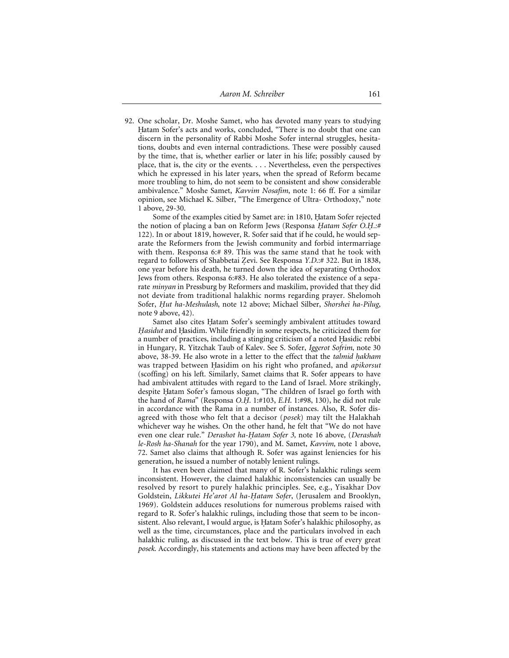92. One scholar, Dr. Moshe Samet, who has devoted many years to studying Hatam Sofer's acts and works, concluded, "There is no doubt that one can discern in the personality of Rabbi Moshe Sofer internal struggles, hesitations, doubts and even internal contradictions. These were possibly caused by the time, that is, whether earlier or later in his life; possibly caused by place, that is, the city or the events. . . . Nevertheless, even the perspectives which he expressed in his later years, when the spread of Reform became more troubling to him, do not seem to be consistent and show considerable ambivalence." Moshe Samet, *Kavvim Nosafim*, note 1: 66 ff. For a similar opinion, see Michael K. Silber, "The Emergence of Ultra- Orthodoxy," note 1 above, 29-30.

Some of the examples citied by Samet are: in 1810, Hatam Sofer rejected the notion of placing a ban on Reform Jews (Responsa *Hatam Sofer O.H.*:# 122). In or about 1819, however, R. Sofer said that if he could, he would separate the Reformers from the Jewish community and forbid intermarriage with them. Responsa 6:# 89. This was the same stand that he took with regard to followers of Shabbetai Zevi. See Responsa *Y.D*.:# 322. But in 1838, one year before his death, he turned down the idea of separating Orthodox Jews from others. Responsa 6:#83. He also tolerated the existence of a separate *minyan* in Pressburg by Reformers and maskilim, provided that they did not deviate from traditional halakhic norms regarding prayer. Shelomoh Sofer, *H. ut ha-Meshulash*, note 12 above; Michael Silber, *Shorshei ha-Pilug*, note 9 above, 42).

Samet also cites Hatam Sofer's seemingly ambivalent attitudes toward *Hasidut* and Hasidim. While friendly in some respects, he criticized them for a number of practices, including a stinging criticism of a noted Hasidic rebbi in Hungary, R. Yitzchak Taub of Kalev. See S. Sofer, *Iggerot Sofrim*, note 30 above, 38-39. He also wrote in a letter to the effect that the *talmid hakham* was trapped between Hasidim on his right who profaned, and *apikorsut* (scoffing) on his left. Similarly, Samet claims that R. Sofer appears to have had ambivalent attitudes with regard to the Land of Israel. More strikingly, despite Hatam Sofer's famous slogan, "The children of Israel go forth with the hand of *Rama*" (Responsa *O.H. .* 1:#103, *E.H*. 1:#98, 130), he did not rule in accordance with the Rama in a number of instances. Also, R. Sofer disagreed with those who felt that a decisor (*posek*) may tilt the Halakhah whichever way he wishes. On the other hand, he felt that "We do not have even one clear rule." *Derashot ha-H. atam Sofer 3,* note 16 above*,* (*Derashah le-Rosh ha-Shanah* for the year 1790), and M. Samet, *Kavvim,* note 1 above, 72. Samet also claims that although R. Sofer was against leniencies for his generation, he issued a number of notably lenient rulings.

It has even been claimed that many of R. Sofer's halakhic rulings seem inconsistent. However, the claimed halakhic inconsistencies can usually be resolved by resort to purely halakhic principles. See, e.g., Yisakhar Dov Goldstein, *Likkutei He'arot Al ha-Hatam Sofer*, (Jerusalem and Brooklyn, 1969). Goldstein adduces resolutions for numerous problems raised with regard to R. Sofer's halakhic rulings, including those that seem to be inconsistent. Also relevant, I would argue, is Hatam Sofer's halakhic philosophy, as well as the time, circumstances, place and the particulars involved in each halakhic ruling, as discussed in the text below. This is true of every great *posek*. Accordingly, his statements and actions may have been affected by the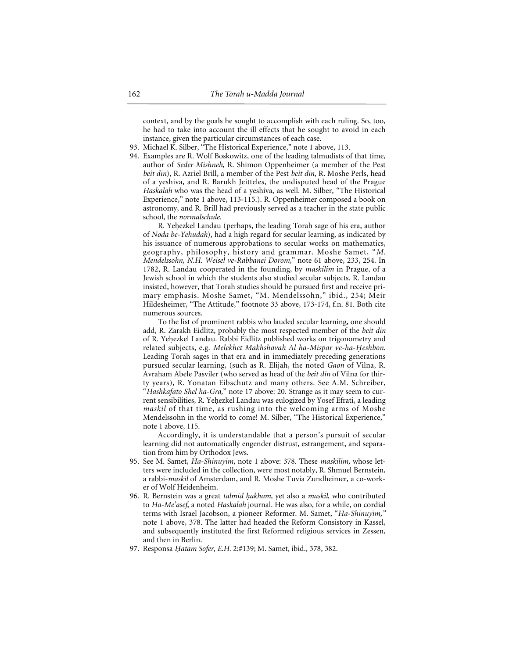context, and by the goals he sought to accomplish with each ruling. So, too, he had to take into account the ill effects that he sought to avoid in each instance, given the particular circumstances of each case.

- 93. Michael K. Silber, "The Historical Experience," note 1 above, 113.
- 94. Examples are R. Wolf Boskowitz, one of the leading talmudists of that time, author of *Seder Mishneh*, R. Shimon Oppenheimer (a member of the Pest *beit din*), R. Azriel Brill, a member of the Pest *beit din*, R. Moshe Perls, head of a yeshiva, and R. Barukh Jeitteles, the undisputed head of the Prague *Haskalah* who was the head of a yeshiva, as well. M. Silber, "The Historical Experience," note 1 above, 113-115.). R. Oppenheimer composed a book on astronomy, and R. Brill had previously served as a teacher in the state public school, the *normalschule.*

R. Yehezkel Landau (perhaps, the leading Torah sage of his era, author of *Noda be-Yehudah*), had a high regard for secular learning, as indicated by his issuance of numerous approbations to secular works on mathematics, geography, philosophy, history and grammar. Moshe Samet, "*M. Mendelssohn, N.H. Weisel ve-Rabbanei Dorom,*" note 61 above, 233, 254. In 1782, R. Landau cooperated in the founding, by *maskilim* in Prague, of a Jewish school in which the students also studied secular subjects. R. Landau insisted, however, that Torah studies should be pursued first and receive primary emphasis. Moshe Samet, "M. Mendelssohn," ibid., 254; Meir Hildesheimer, "The Attitude," footnote 33 above, 173-174, f.n. 81. Both cite numerous sources.

To the list of prominent rabbis who lauded secular learning, one should add, R. Zarakh Eidlitz, probably the most respected member of the *beit din* of R. Yehezkel Landau. Rabbi Eidlitz published works on trigonometry and related subjects, e.g. *Melekhet Makhshavah Al ha-Mispar ve-ha-Heshbon*. Leading Torah sages in that era and in immediately preceding generations pursued secular learning, (such as R. Elijah, the noted *Gaon* of Vilna, R. Avraham Abele Pasviler (who served as head of the *beit din* of Vilna for thirty years), R. Yonatan Eibschutz and many others. See A.M. Schreiber, "*Hashkafato Shel ha-Gra,*" note 17 above: 20. Strange as it may seem to current sensibilities, R. Yehezkel Landau was eulogized by Yosef Efrati, a leading *maskil* of that time, as rushing into the welcoming arms of Moshe Mendelssohn in the world to come! M. Silber, "The Historical Experience," note 1 above, 115.

Accordingly, it is understandable that a person's pursuit of secular learning did not automatically engender distrust, estrangement, and separation from him by Orthodox Jews.

- 95. See M. Samet, *Ha-Shinuyim*, note 1 above: 378. These *maskilim,* whose letters were included in the collection, were most notably, R. Shmuel Bernstein, a rabbi-*maskil* of Amsterdam, and R. Moshe Tuvia Zundheimer, a co-worker of Wolf Heidenheim.
- 96. R. Bernstein was a great *talmid hakham*, yet also a *maskil*, who contributed to *Ha-Me'asef*, a noted *Haskalah* journal. He was also, for a while, on cordial terms with Israel Jacobson, a pioneer Reformer. M. Samet, "*Ha-Shinuyim,"* note 1 above, 378. The latter had headed the Reform Consistory in Kassel, and subsequently instituted the first Reformed religious services in Zessen, and then in Berlin.
- 97. Responsa *Hatam Sofer*, *E.H.* 2:#139; M. Samet, ibid., 378, 382.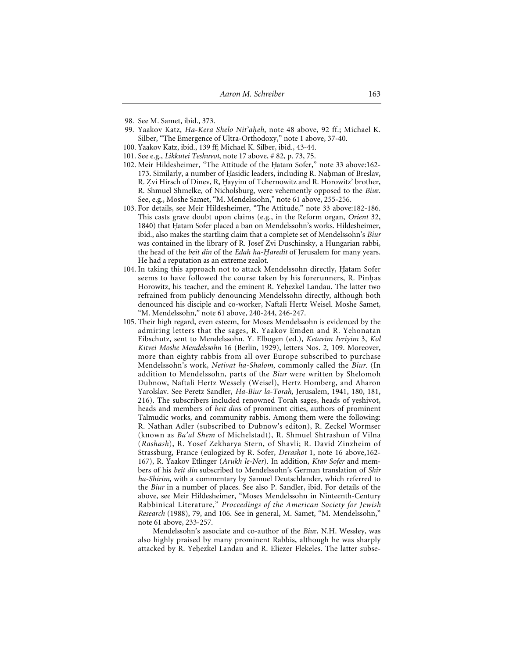- 98. See M. Samet, ibid., 373.
- 99. Yaakov Katz, *Ha-Kera Shelo Nit'aheh*, note 48 above, 92 ff.; Michael K. Silber, "The Emergence of Ultra-Orthodoxy," note 1 above, 37-40.
- 100. Yaakov Katz, ibid., 139 ff; Michael K. Silber, ibid., 43-44.
- 101. See e.g., *Likkutei Teshuvot*, note 17 above, # 82, p. 73, 75.
- 102. Meir Hildesheimer, "The Attitude of the Hatam Sofer," note 33 above:162-173. Similarly, a number of Hasidic leaders, including R. Nahman of Breslav, R. Zvi Hirsch of Dinev, R, Hayyim of Tchernowitz and R. Horowitz' brother, R. Shmuel Shmelke, of Nicholsburg, were vehemently opposed to the *Biu*r. See, e.g., Moshe Samet, "M. Mendelssohn," note 61 above, 255-256.
- 103. For details, see Meir Hildesheimer, "The Attitude," note 33 above:182-186. This casts grave doubt upon claims (e.g., in the Reform organ, *Orient* 32, 1840) that Hatam Sofer placed a ban on Mendelssohn's works. Hildesheimer, ibid., also makes the startling claim that a complete set of Mendelssohn's *Biur* was contained in the library of R. Josef Zvi Duschinsky, a Hungarian rabbi, the head of the *beit din* of the *Edah ha-Haredit* of Jerusalem for many years. He had a reputation as an extreme zealot.
- 104. In taking this approach not to attack Mendelssohn directly, Hatam Sofer seems to have followed the course taken by his forerunners, R. Pinhas Horowitz, his teacher, and the eminent R. Yehezkel Landau. The latter two refrained from publicly denouncing Mendelssohn directly, although both denounced his disciple and co-worker, Naftali Hertz Weisel. Moshe Samet, "M. Mendelssohn," note 61 above, 240-244, 246-247.
- 105. Their high regard, even esteem, for Moses Mendelssohn is evidenced by the admiring letters that the sages, R. Yaakov Emden and R. Yehonatan Eibschutz, sent to Mendelssohn. Y. Elbogen (ed.), *Ketavim Ivriyim* 3, *Kol Kitvei Moshe Mendelssohn* 16 (Berlin, 1929), letters Nos. 2, 109. Moreover, more than eighty rabbis from all over Europe subscribed to purchase Mendelssohn's work, *Netivat ha-Shalom*, commonly called the *Biur*. (In addition to Mendelssohn, parts of the *Biur* were written by Shelomoh Dubnow, Naftali Hertz Wessely (Weisel), Hertz Homberg, and Aharon Yarolslav. See Peretz Sandler, *Ha-Biur la-Torah,* Jerusalem, 1941, 180, 181, 216). The subscribers included renowned Torah sages, heads of yeshivot, heads and members of *beit din*s of prominent cities, authors of prominent Talmudic works, and community rabbis. Among them were the following: R. Nathan Adler (subscribed to Dubnow's editon), R. Zeckel Wormser (known as *Ba'al Shem* of Michelstadt), R. Shmuel Shtrashun of Vilna (*Rashash*), R. Yosef Zekharya Stern, of Shavli; R. David Zinzheim of Strassburg, France (eulogized by R. Sofer, *Derashot* 1, note 16 above,162- 167), R. Yaakov Etlinger (*Arukh le-Ner*). In addition, *Ktav Sofer* and members of his *beit din* subscribed to Mendelssohn's German translation of *Shir ha-Shirim,* with a commentary by Samuel Deutschlander, which referred to the *Biur* in a number of places. See also P. Sandler, ibid. For details of the above, see Meir Hildesheimer, "Moses Mendelssohn in Ninteenth-Century Rabbinical Literature," *Proceedings of the American Society for Jewish Research* (1988), 79, and 106. See in general, M. Samet, "M. Mendelssohn," note 61 above, 233-257.

Mendelssohn's associate and co-author of the *Biu*r, N.H. Wessley, was also highly praised by many prominent Rabbis, although he was sharply attacked by R. Yehezkel Landau and R. Eliezer Flekeles. The latter subse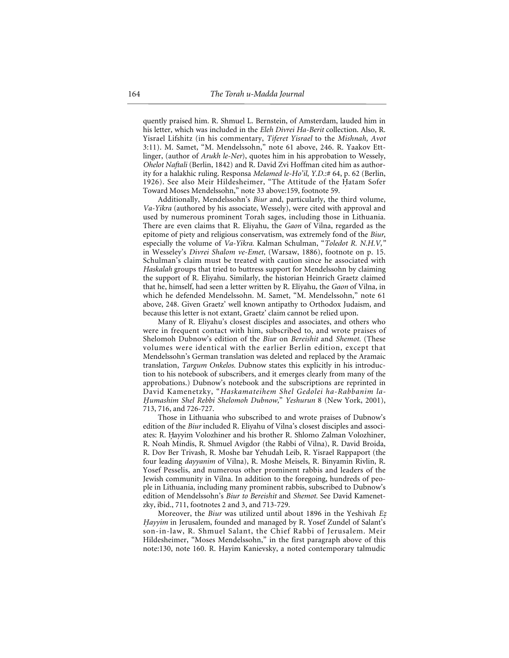quently praised him. R. Shmuel L. Bernstein, of Amsterdam, lauded him in his letter, which was included in the *Eleh Divrei Ha-Berit* collection. Also, R. Yisrael Lifshitz (in his commentary, *Tiferet Yisrael* to the *Mishnah, Avot* 3:11). M. Samet, "M. Mendelssohn," note 61 above, 246. R. Yaakov Ettlinger, (author of *Arukh le-Ner*), quotes him in his approbation to Wessely, *Ohelot Naftali* (Berlin, 1842) and R. David Zvi Hoffman cited him as authority for a halakhic ruling. Responsa *Melamed le-Ho'il*, *Y.D*.:# 64, p. 62 (Berlin, 1926). See also Meir Hildesheimer, "The Attitude of the Hatam Sofer Toward Moses Mendelssohn," note 33 above:159, footnote 59.

Additionally, Mendelssohn's *Biur* and, particularly, the third volume, *Va-Yikra* (authored by his associate, Wessely), were cited with approval and used by numerous prominent Torah sages, including those in Lithuania. There are even claims that R. Eliyahu, the *Gaon* of Vilna, regarded as the epitome of piety and religious conservatism, was extremely fond of the *Biur*, especially the volume of *Va-Yikra.* Kalman Schulman, "*Toledot R. N.H.V,"* in Wesseley's *Divrei Shalom ve-Emet,* (Warsaw, 1886), footnote on p. 15. Schulman's claim must be treated with caution since he associated with *Haskalah* groups that tried to buttress support for Mendelssohn by claiming the support of R. Eliyahu. Similarly, the historian Heinrich Graetz claimed that he, himself, had seen a letter written by R. Eliyahu, the *Gaon* of Vilna, in which he defended Mendelssohn. M. Samet, "M. Mendelssohn," note 61 above, 248. Given Graetz' well known antipathy to Orthodox Judaism, and because this letter is not extant, Graetz' claim cannot be relied upon.

Many of R. Eliyahu's closest disciples and associates, and others who were in frequent contact with him, subscribed to, and wrote praises of Shelomoh Dubnow's edition of the *Biu*r on *Bereishit* and *Shemot.* (These volumes were identical with the earlier Berlin edition, except that Mendelssohn's German translation was deleted and replaced by the Aramaic translation, *Targum Onkelos.* Dubnow states this explicitly in his introduction to his notebook of subscribers, and it emerges clearly from many of the approbations.) Dubnow's notebook and the subscriptions are reprinted in David Kamenetzky, "*Haskamateihem Shel Gedolei ha-Rabbanim la-H. umashim Shel Rebbi Shelomoh Dubnow,*" *Yeshurun* 8 (New York, 2001), 713, 716, and 726-727.

Those in Lithuania who subscribed to and wrote praises of Dubnow's edition of the *Biur* included R. Eliyahu of Vilna's closest disciples and associates: R. Hayyim Volozhiner and his brother R. Shlomo Zalman Volozhiner, R. Noah Mindis, R. Shmuel Avigdor (the Rabbi of Vilna), R. David Broida, R. Dov Ber Trivash, R. Moshe bar Yehudah Leib, R. Yisrael Rappaport (the four leading *dayyanim* of Vilna), R. Moshe Meisels, R. Binyamin Rivlin, R. Yosef Pesselis, and numerous other prominent rabbis and leaders of the Jewish community in Vilna. In addition to the foregoing, hundreds of people in Lithuania, including many prominent rabbis, subscribed to Dubnow's edition of Mendelssohn's *Biur to Bereishit* and *Shemot.* See David Kamenetzky, ibid., 711, footnotes 2 and 3, and 713-729.<br>Moreover, the *Biur* was utilized until about 1896 in the Yeshivah Ez

Hayyim in Jerusalem, founded and managed by R. Yosef Zundel of Salant's son-in-law, R. Shmuel Salant, the Chief Rabbi of Jerusalem. Meir Hildesheimer, "Moses Mendelssohn," in the first paragraph above of this note:130, note 160. R. Hayim Kanievsky, a noted contemporary talmudic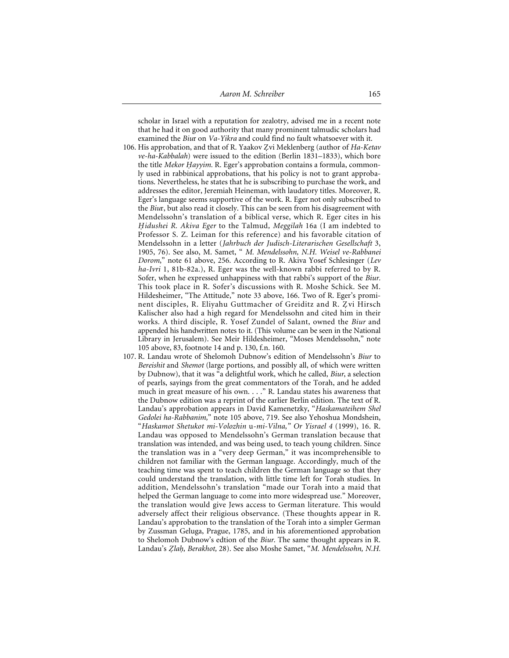scholar in Israel with a reputation for zealotry, advised me in a recent note that he had it on good authority that many prominent talmudic scholars had examined the *Biu*r on *Va-Yikra* and could find no fault whatsoever with it.

- 106. His approbation, and that of R. Yaakov Zvi Meklenberg (author of *Ha-Ketav ve-ha-Kabbalah*) were issued to the edition (Berlin 1831–1833), which bore the title *Mekor Hayyim*. R. Eger's approbation contains a formula, commonly used in rabbinical approbations, that his policy is not to grant approbations. Nevertheless, he states that he is subscribing to purchase the work, and addresses the editor, Jeremiah Heineman, with laudatory titles. Moreover, R. Eger's language seems supportive of the work. R. Eger not only subscribed to the *Biu*r, but also read it closely. This can be seen from his disagreement with Mendelssohn's translation of a biblical verse, which R. Eger cites in his *H. idushei R. Akiva Eger* to the Talmud*, Meggilah* 16a (I am indebted to Professor S. Z. Leiman for this reference) and his favorable citation of Mendelssohn in a letter (*Jahrbuch der Judisch-Literarischen Gesellschaft* 3, 1905, 76). See also, M. Samet, " *M. Mendelssohn, N.H. Weisel ve-Rabbanei Dorom*," note 61 above, 256. According to R. Akiva Yosef Schlesinger (*Lev ha-Ivri* 1, 81b-82a.), R. Eger was the well-known rabbi referred to by R. Sofer, when he expressed unhappiness with that rabbi's support of the *Biur.* This took place in R. Sofer's discussions with R. Moshe Schick. See M. Hildesheimer, "The Attitude," note 33 above, 166. Two of R. Eger's prominent disciples, R. Eliyahu Guttmacher of Greiditz and R. Zvi Hirsch Kalischer also had a high regard for Mendelssohn and cited him in their works. A third disciple, R. Yosef Zundel of Salant, owned the *Biur* and appended his handwritten notes to it. (This volume can be seen in the National Library in Jerusalem). See Meir Hildesheimer, "Moses Mendelssohn," note 105 above, 83, footnote 14 and p. 130, f.n. 160.
- 107. R. Landau wrote of Shelomoh Dubnow's edition of Mendelssohn's *Biur* to *Bereishit* and *Shemot* (large portions, and possibly all, of which were written by Dubnow), that it was "a delightful work, which he called, *Biur*, a selection of pearls, sayings from the great commentators of the Torah, and he added much in great measure of his own. . . ." R. Landau states his awareness that the Dubnow edition was a reprint of the earlier Berlin edition. The text of R. Landau's approbation appears in David Kamenetzky, "*Haskamateihem Shel Gedolei ha-Rabbanim,*" note 105 above, 719. See also Yehoshua Mondshein, "*Haskamot Shetukot mi-Volozhin* u*-mi-Vilna," Or Yisrael 4* (1999), 16. R. Landau was opposed to Mendelssohn's German translation because that translation was intended, and was being used, to teach young children. Since the translation was in a "very deep German," it was incomprehensible to children not familiar with the German language. Accordingly, much of the teaching time was spent to teach children the German language so that they could understand the translation, with little time left for Torah studies. In addition, Mendelssohn's translation "made our Torah into a maid that helped the German language to come into more widespread use." Moreover, the translation would give Jews access to German literature. This would adversely affect their religious observance. (These thoughts appear in R. Landau's approbation to the translation of the Torah into a simpler German by Zussman Geluga, Prague, 1785, and in his aforementioned approbation to Shelomoh Dubnow's edtion of the *Biur*. The same thought appears in R. Landau's *Z. lah. , Berakhot,* 28). See also Moshe Samet, "*M. Mendelssohn, N.H.*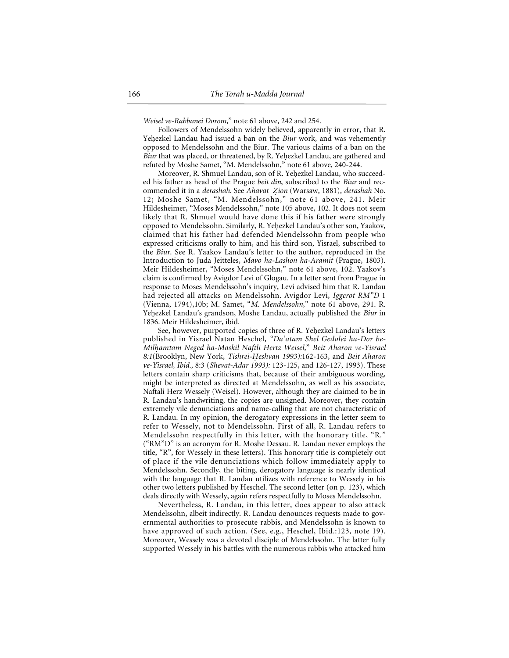*Weisel ve-Rabbanei Dorom,*" note 61 above, 242 and 254.

Followers of Mendelssohn widely believed, apparently in error, that R. Yehezkel Landau had issued a ban on the *Biur* work, and was vehemently opposed to Mendelssohn and the Biur. The various claims of a ban on the *Biur* that was placed, or threatened, by R. Yehezkel Landau, are gathered and refuted by Moshe Samet, "M. Mendelssohn," note 61 above, 240-244.

Moreover, R. Shmuel Landau, son of R. Yehezkel Landau, who succeeded his father as head of the Prague *beit din*, subscribed to the *Biur* and recommended it in a *derashah.* See *Ahavat Z. ion* (Warsaw, 1881), *derashah* No. 12; Moshe Samet, "M. Mendelssohn," note 61 above, 241. Meir Hildesheimer, "Moses Mendelssohn," note 105 above, 102. It does not seem likely that R. Shmuel would have done this if his father were strongly opposed to Mendelssohn. Similarly, R. Yehezkel Landau's other son, Yaakov, claimed that his father had defended Mendelssohn from people who expressed criticisms orally to him, and his third son, Yisrael, subscribed to the *Biur*. See R. Yaakov Landau's letter to the author, reproduced in the Introduction to Juda Jeitteles, *Mavo ha-Lashon ha-Aramit* (Prague, 1803). Meir Hildesheimer, "Moses Mendelssohn," note 61 above, 102. Yaakov's claim is confirmed by Avigdor Levi of Glogau. In a letter sent from Prague in response to Moses Mendelssohn's inquiry, Levi advised him that R. Landau had rejected all attacks on Mendelssohn. Avigdor Levi, *Iggerot RM"D* 1 (Vienna, 1794),10b; M. Samet, "*M. Mendelssohn*," note 61 above, 291. R. Yehezkel Landau's grandson, Moshe Landau, actually published the *Biur* in 1836. Meir Hildesheimer, ibid.

See, however, purported copies of three of R. Yehezkel Landau's letters published in Yisrael Natan Heschel, *"Da'atam Shel Gedolei ha-Dor be-Milh. amtam Neged ha-Maskil Naftli Hertz Weisel,*" *Beit Aharon ve-Yisrael 8:1*(Brooklyn, New York, *Tishrei-H. eshvan 1993):*162-163, and *Beit Aharon ve-Yisrael, Ibid.,* 8:3 (*Shevat-Adar 1993):* 123-125, and 126-127, 1993). These letters contain sharp criticisms that, because of their ambiguous wording, might be interpreted as directed at Mendelssohn, as well as his associate, Naftali Herz Wessely (Weisel). However, although they are claimed to be in R. Landau's handwriting, the copies are unsigned. Moreover, they contain extremely vile denunciations and name-calling that are not characteristic of R. Landau. In my opinion, the derogatory expressions in the letter seem to refer to Wessely, not to Mendelssohn. First of all, R. Landau refers to Mendelssohn respectfully in this letter, with the honorary title, "R." ("RM"D" is an acronym for R. Moshe Dessau. R. Landau never employs the title, "R", for Wessely in these letters). This honorary title is completely out of place if the vile denunciations which follow immediately apply to Mendelssohn. Secondly, the biting, derogatory language is nearly identical with the language that R. Landau utilizes with reference to Wessely in his other two letters published by Heschel. The second letter (on p. 123), which deals directly with Wessely, again refers respectfully to Moses Mendelssohn.

Nevertheless, R. Landau, in this letter, does appear to also attack Mendelssohn, albeit indirectly. R. Landau denounces requests made to governmental authorities to prosecute rabbis, and Mendelssohn is known to have approved of such action. (See, e.g., Heschel, Ibid.:123, note 19). Moreover, Wessely was a devoted disciple of Mendelssohn. The latter fully supported Wessely in his battles with the numerous rabbis who attacked him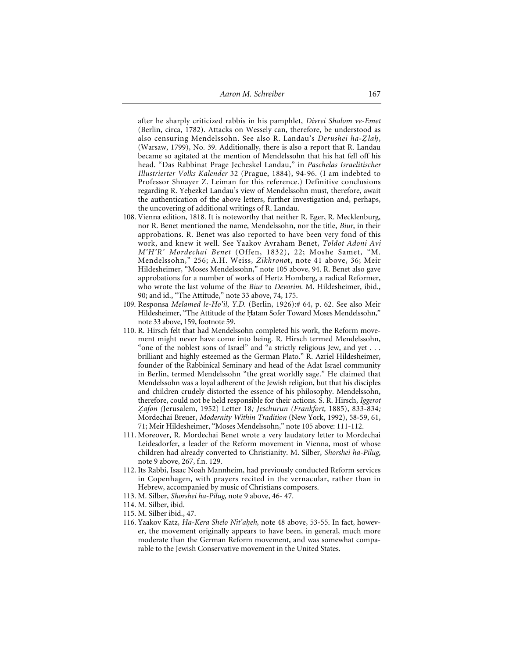after he sharply criticized rabbis in his pamphlet, *Divrei Shalom ve-Emet* (Berlin, circa, 1782). Attacks on Wessely can, therefore, be understood as also censuring Mendelssohn. See also R. Landau's *Derushei ha-Z. lah. ,* (Warsaw, 1799), No. 39. Additionally, there is also a report that R. Landau became so agitated at the mention of Mendelssohn that his hat fell off his head. "Das Rabbinat Prage Jecheskel Landau," in *Paschelas Israelitischer Illustrierter Volks Kalender* 32 (Prague, 1884), 94-96. (I am indebted to Professor Shnayer Z. Leiman for this reference.) Definitive conclusions regarding R. Yehezkel Landau's view of Mendelssohn must, therefore, await the authentication of the above letters, further investigation and, perhaps, the uncovering of additional writings of R. Landau.

- 108. Vienna edition, 1818. It is noteworthy that neither R. Eger, R. Mecklenburg, nor R. Benet mentioned the name, Mendelssohn, nor the title, *Biur*, in their approbations. R. Benet was also reported to have been very fond of this work, and knew it well. See Yaakov Avraham Benet, *Toldot Adoni Avi M'H'R' Mordechai Benet* (Offen, 1832), 22; Moshe Samet, "M. Mendelssohn," 256; A.H. Weiss, *Zikhrono*t, note 41 above, 36; Meir Hildesheimer, "Moses Mendelssohn," note 105 above, 94. R. Benet also gave approbations for a number of works of Hertz Homberg, a radical Reformer, who wrote the last volume of the *Biur* to *Devarim*. M. Hildesheimer, ibid., 90; and id., "The Attitude," note 33 above, 74, 175.
- 109. Responsa *Melamed le-Ho'il*, *Y.D*. (Berlin, 1926):# 64, p. 62. See also Meir Hildesheimer, "The Attitude of the Hatam Sofer Toward Moses Mendelssohn," note 33 above, 159, footnote 59.
- 110. R. Hirsch felt that had Mendelssohn completed his work, the Reform movement might never have come into being. R. Hirsch termed Mendelssohn, "one of the noblest sons of Israel" and "a strictly religious Jew, and yet . . . brilliant and highly esteemed as the German Plato." R. Azriel Hildesheimer, founder of the Rabbinical Seminary and head of the Adat Israel community in Berlin, termed Mendelssohn "the great worldly sage." He claimed that Mendelssohn was a loyal adherent of the Jewish religion, but that his disciples and children crudely distorted the essence of his philosophy. Mendelssohn, therefore, could not be held responsible for their actions. S. R. Hirsch, *Iggerot Z. afon (*Jerusalem, 1952) Letter 18*; Jeschurun (Frankfort,* 1885), 833-834*;* Mordechai Breuer, *Modernity Within Tradition* (New York, 1992), 58-59, 61, 71; Meir Hildesheimer, "Moses Mendelssohn," note 105 above: 111-112.
- 111. Moreover, R. Mordechai Benet wrote a very laudatory letter to Mordechai Leidesdorfer, a leader of the Reform movement in Vienna, most of whose children had already converted to Christianity. M. Silber, *Shorshei ha-Pilug*, note 9 above, 267, f.n. 129.
- 112. Its Rabbi, Isaac Noah Mannheim, had previously conducted Reform services in Copenhagen, with prayers recited in the vernacular, rather than in Hebrew, accompanied by music of Christians composers.
- 113. M. Silber, *Shorshei ha-Pilug*, note 9 above, 46- 47.
- 114. M. Silber, ibid.
- 115. M. Silber ibid., 47.
- 116. Yaakov Katz, *Ha-Kera Shelo Nit'aheh*, note 48 above, 53-55. In fact, however, the movement originally appears to have been, in general, much more moderate than the German Reform movement, and was somewhat comparable to the Jewish Conservative movement in the United States.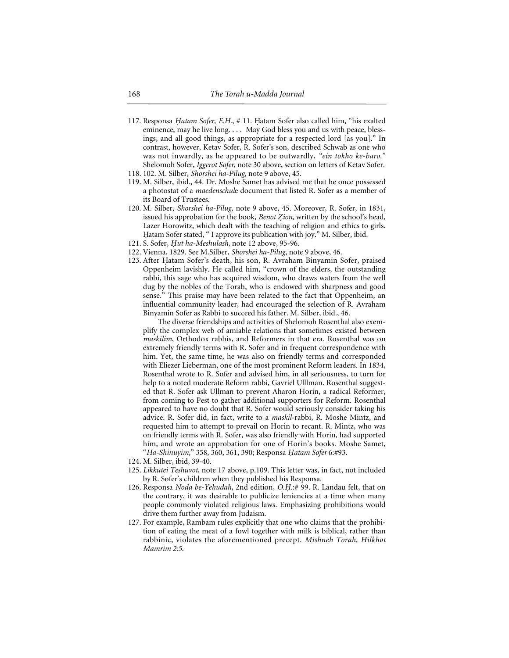- 117. Responsa *Hatam Sofer, E.H.*, # 11. Hatam Sofer also called him, "his exalted eminence, may he live long. . . . May God bless you and us with peace, blessings, and all good things, as appropriate for a respected lord [as you]." In contrast, however, Ketav Sofer, R. Sofer's son, described Schwab as one who was not inwardly, as he appeared to be outwardly, *"ein tokho ke-baro*." Shelomoh Sofer, *Iggerot Sofer*, note 30 above, section on letters of Ketav Sofer.
- 118. 102. M. Silber, *Shorshei ha-Pilug*, note 9 above, 45.
- 119. M. Silber, ibid., 44. Dr. Moshe Samet has advised me that he once possessed a photostat of a *maedenschul*e document that listed R. Sofer as a member of its Board of Trustees.
- 120. M. Silber, *Shorshei ha-Pilug*, note 9 above, 45. Moreover, R. Sofer, in 1831, issued his approbation for the book, *Benot Zion*, written by the school's head, Lazer Horowitz, which dealt with the teaching of religion and ethics to girls. Hatam Sofer stated, "I approve its publication with joy." M. Silber, ibid.
- 121. S. Sofer, *H. ut ha-Meshulash*, note 12 above, 95-96.
- 122. Vienna, 1829. See M.Silber, *Shorshei ha-Pilug*, note 9 above, 46.
- 123. After Hatam Sofer's death, his son, R. Avraham Binyamin Sofer, praised Oppenheim lavishly. He called him, "crown of the elders, the outstanding rabbi, this sage who has acquired wisdom, who draws waters from the well dug by the nobles of the Torah, who is endowed with sharpness and good sense." This praise may have been related to the fact that Oppenheim, an influential community leader, had encouraged the selection of R. Avraham Binyamin Sofer as Rabbi to succeed his father. M. Silber, ibid., 46.

The diverse friendships and activities of Shelomoh Rosenthal also exemplify the complex web of amiable relations that sometimes existed between *maskilim*, Orthodox rabbis, and Reformers in that era. Rosenthal was on extremely friendly terms with R. Sofer and in frequent correspondence with him. Yet, the same time, he was also on friendly terms and corresponded with Eliezer Lieberman, one of the most prominent Reform leaders. In 1834, Rosenthal wrote to R. Sofer and advised him, in all seriousness, to turn for help to a noted moderate Reform rabbi, Gavriel Ulllman. Rosenthal suggested that R. Sofer ask Ullman to prevent Aharon Horin, a radical Reformer, from coming to Pest to gather additional supporters for Reform. Rosenthal appeared to have no doubt that R. Sofer would seriously consider taking his advice. R. Sofer did, in fact, write to a *maskil*-rabbi, R. Moshe Mintz, and requested him to attempt to prevail on Horin to recant. R. Mintz, who was on friendly terms with R. Sofer, was also friendly with Horin, had supported him, and wrote an approbation for one of Horin's books. Moshe Samet, "*Ha-Shinuyim,*" 358, 360, 361, 390; Responsa *H. atam Sofer* 6:#93.

- 124. M. Silber, ibid, 39-40.
- 125. *Likkutei Teshuvot*, note 17 above, p.109. This letter was, in fact, not included by R. Sofer's children when they published his Responsa.
- 126. Responsa *Noda be-Yehudah*, 2nd edition, *O.H.*:# 99. R. Landau felt, that on the contrary, it was desirable to publicize leniencies at a time when many people commonly violated religious laws. Emphasizing prohibitions would drive them further away from Judaism.
- 127. For example, Rambam rules explicitly that one who claims that the prohibition of eating the meat of a fowl together with milk is biblical, rather than rabbinic, violates the aforementioned precept. *Mishneh Torah, Hilkhot Mamrim 2:5*.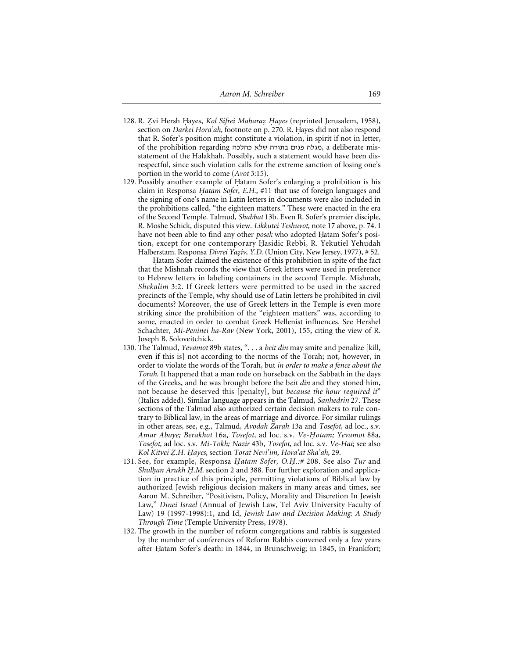- 128. R. Zvi Hersh Hayes, *Kol Sifrei Maharaz Hayes* (reprinted Jerusalem, 1958), section on *Darkei Hora'ah*, footnote on p. 270. R. Hayes did not also respond that R. Sofer's position might constitute a violation, in spirit if not in letter, of the prohibition regarding כוגלה פנים בתורה שלא כהלכה, a deliberate misstatement of the Halakhah. Possibly, such a statement would have been disrespectful, since such violation calls for the extreme sanction of losing one's portion in the world to come (*Avot* 3:15).
- 129. Possibly another example of Hatam Sofer's enlarging a prohibition is his claim in Responsa *Hatam Sofer, E.H.*, #11 that use of foreign languages and the signing of one's name in Latin letters in documents were also included in the prohibitions called, "the eighteen matters." These were enacted in the era of the Second Temple. Talmud, *Shabbat* 13b. Even R. Sofer's premier disciple, R. Moshe Schick, disputed this view. *Likkutei Teshuvot,* note 17 above*,* p*.* 74. I have not been able to find any other *posek* who adopted Hatam Sofer's position, except for one contemporary Hasidic Rebbi, R. Yekutiel Yehudah Halberstam. Responsa *Divrei Yaziv*, Y.D. (Union City, New Jersey, 1977), # 52.

Hatam Sofer claimed the existence of this prohibition in spite of the fact that the Mishnah records the view that Greek letters were used in preference to Hebrew letters in labeling containers in the second Temple. Mishnah, *Shekalim* 3:2. If Greek letters were permitted to be used in the sacred precincts of the Temple, why should use of Latin letters be prohibited in civil documents? Moreover, the use of Greek letters in the Temple is even more striking since the prohibition of the "eighteen matters" was, according to some, enacted in order to combat Greek Hellenist influences. See Hershel Schachter, *Mi-Peninei ha-Rav* (New York, 2001), 155, citing the view of R. Joseph B. Soloveitchick.

- 130. The Talmud, *Yevamot* 89b states, ". . . a *beit din* may smite and penalize [kill, even if this is] not according to the norms of the Torah; not, however, in order to violate the words of the Torah, but *in order to make a fence about the Torah*. It happened that a man rode on horseback on the Sabbath in the days of the Greeks, and he was brought before the b*eit din* and they stoned him, not because he deserved this [penalty], but *because the hour required it*" (Italics added). Similar language appears in the Talmud, *Sanhedrin* 27. These sections of the Talmud also authorized certain decision makers to rule contrary to Biblical law, in the areas of marriage and divorce. For similar rulings in other areas, see, e.g., Talmud, *Avodah Zarah* 13a and *Tosefot,* ad loc., s.v. *Amar Abaye; Berakhot* 16a, *Tosefot,* ad loc. s.v. *Ve-H. otam; Yevamot* 88a, *Tosefot,* ad loc. s.v. *Mi-Tokh; Nazir* 43b, *Tosefot,* ad loc. s.v. *Ve-Hai*; see also *Kol Kitvei Z. .H. H. ayes*, section *Torat Nevi'im, Hora'at Sha'ah*, 29.
- 131. See, for example, Responsa *Hatam Sofer*, O.H.:# 208. See also Tur and *Shulhan Arukh H.M.* section 2 and 388. For further exploration and application in practice of this principle, permitting violations of Biblical law by authorized Jewish religious decision makers in many areas and times, see Aaron M. Schreiber, "Positivism, Policy, Morality and Discretion In Jewish Law," *Dinei Israel* (Annual of Jewish Law, Tel Aviv University Faculty of Law) 19 (1997-1998):1, and Id, *Jewish Law and Decision Making: A Study Through Time* (Temple University Press, 1978).
- 132. The growth in the number of reform congregations and rabbis is suggested by the number of conferences of Reform Rabbis convened only a few years after Hatam Sofer's death: in 1844, in Brunschweig; in 1845, in Frankfort;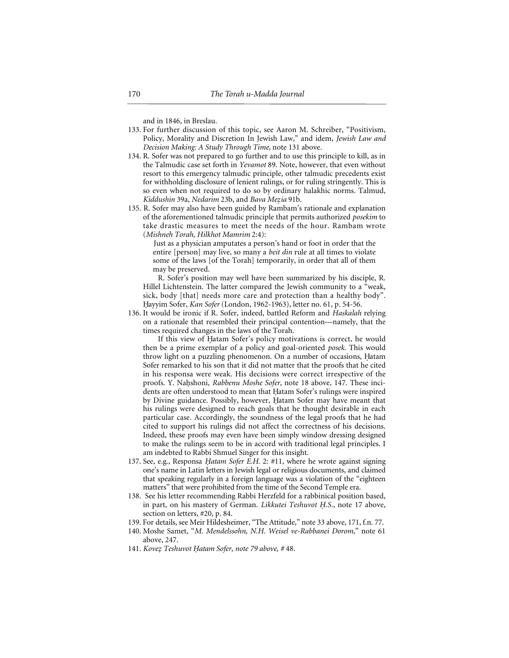and in 1846, in Breslau.

- 133. For further discussion of this topic, see Aaron M. Schreiber, "Positivism, Policy, Morality and Discretion In Jewish Law," and idem, *Jewish Law and Decision Making: A Study Through Time,* note 131 above*.*
- 134. R. Sofer was not prepared to go further and to use this principle to kill, as in the Talmudic case set forth in *Yevamot* 89. Note, however, that even without resort to this emergency talmudic principle, other talmudic precedents exist for withholding disclosure of lenient rulings, or for ruling stringently. This is so even when not required to do so by ordinary halakhic norms. Talmud, *Kiddushin* 39a, *Nedarim* 23b, and *Bava Mez. ia* 91b.
- 135. R. Sofer may also have been guided by Rambam's rationale and explanation of the aforementioned talmudic principle that permits authorized *posekim* to take drastic measures to meet the needs of the hour. Rambam wrote (*Mishneh Torah, Hilkhot Mamrim* 2:4):

Just as a physician amputates a person's hand or foot in order that the entire [person] may live, so many a *beit din* rule at all times to violate some of the laws [of the Torah] temporarily, in order that all of them may be preserved.

R. Sofer's position may well have been summarized by his disciple, R. Hillel Lichtenstein. The latter compared the Jewish community to a "weak, sick, body [that] needs more care and protection than a healthy body". Hayyim Sofer, *Kan Sofer* (London, 1962-1963), letter no. 61, p. 54-56.

136. It would be ironic if R. Sofer, indeed, battled Reform and *Haskalah* relying on a rationale that resembled their principal contention—namely, that the times required changes in the laws of the Torah.

If this view of Hatam Sofer's policy motivations is correct, he would then be a prime exemplar of a policy and goal-oriented *posek*. This would throw light on a puzzling phenomenon. On a number of occasions, Hatam Sofer remarked to his son that it did not matter that the proofs that he cited in his responsa were weak. His decisions were correct irrespective of the proofs. Y. Nah.shoni, *Rabbenu Moshe Sofer,* note 18 above*,* 147. These incidents are often understood to mean that Hatam Sofer's rulings were inspired by Divine guidance. Possibly, however, Hatam Sofer may have meant that his rulings were designed to reach goals that he thought desirable in each particular case. Accordingly, the soundness of the legal proofs that he had cited to support his rulings did not affect the correctness of his decisions. Indeed, these proofs may even have been simply window dressing designed to make the rulings seem to be in accord with traditional legal principles. I am indebted to Rabbi Shmuel Singer for this insight.

- 137. See, e.g., Responsa *Hatam Sofer E.H.* 2: #11, where he wrote against signing one's name in Latin letters in Jewish legal or religious documents, and claimed that speaking regularly in a foreign language was a violation of the "eighteen matters" that were prohibited from the time of the Second Temple era.
- 138. See his letter recommending Rabbi Herzfeld for a rabbinical position based, in part, on his mastery of German. *Likkutei Teshuvot H.S.*, note 17 above, section on letters, #20, p. 84.
- 139. For details, see Meir Hildesheimer, "The Attitude," note 33 above, 171, f.n. 77.
- 140. Moshe Samet, "*M. Mendelssohn, N.H. Weisel ve-Rabbanei Dorom,*" note 61 above, 247.
- 141. *Kovez. Teshuvot H. atam Sofer, note 79 above, #* 48.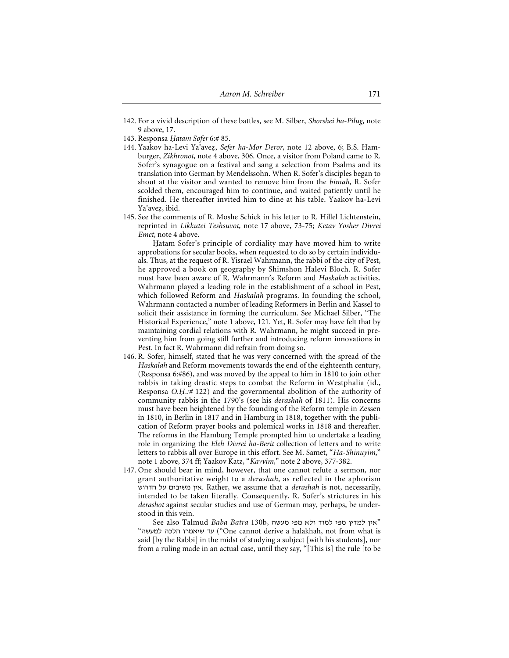- 142. For a vivid description of these battles, see M. Silber, *Shorshei ha-Pilug*, note 9 above, 17.
- 143. Responsa *H. atam Sofer* 6:# 85.
- 144. Yaakov ha-Levi Ya'avez. , *Sefer ha*-*Mor Deror*, note 12 above, 6; B.S. Hamburger, *Zikhronot*, note 4 above, 306. Once, a visitor from Poland came to R. Sofer's synagogue on a festival and sang a selection from Psalms and its translation into German by Mendelssohn. When R. Sofer's disciples began to shout at the visitor and wanted to remove him from the *bimah*, R. Sofer scolded them, encouraged him to continue, and waited patiently until he finished. He thereafter invited him to dine at his table. Yaakov ha-Levi Ya'avez, ibid.
- 145. See the comments of R. Moshe Schick in his letter to R. Hillel Lichtenstein, reprinted in *Likkutei Teshsuvot,* note 17 above, 73-75; *Ketav Yosher Divrei Emet,* note 4 above*.*

Hatam Sofer's principle of cordiality may have moved him to write approbations for secular books, when requested to do so by certain individuals. Thus, at the request of R. Yisrael Wahrmann, the rabbi of the city of Pest, he approved a book on geography by Shimshon Halevi Bloch. R. Sofer must have been aware of R. Wahrmann's Reform and *Haskalah* activities. Wahrmann played a leading role in the establishment of a school in Pest, which followed Reform and *Haskalah* programs. In founding the school, Wahrmann contacted a number of leading Reformers in Berlin and Kassel to solicit their assistance in forming the curriculum. See Michael Silber, "The Historical Experience," note 1 above, 121. Yet, R. Sofer may have felt that by maintaining cordial relations with R. Wahrmann, he might succeed in preventing him from going still further and introducing reform innovations in Pest. In fact R. Wahrmann did refrain from doing so.

- 146. R. Sofer, himself, stated that he was very concerned with the spread of the *Haskalah* and Reform movements towards the end of the eighteenth century, (Responsa 6:#86), and was moved by the appeal to him in 1810 to join other rabbis in taking drastic steps to combat the Reform in Westphalia (id., Responsa *O.H. .:#* 122) and the governmental abolition of the authority of community rabbis in the 1790's (see his *derashah* of 1811). His concerns must have been heightened by the founding of the Reform temple in Zessen in 1810, in Berlin in 1817 and in Hamburg in 1818, together with the publication of Reform prayer books and polemical works in 1818 and thereafter. The reforms in the Hamburg Temple prompted him to undertake a leading role in organizing the *Eleh Divrei ha-Berit* collection of letters and to write letters to rabbis all over Europe in this effort. See M. Samet, "*Ha-Shinuyim*," note 1 above, 374 ff; Yaakov Katz, "*Kavvim,*" note 2 above, 377-382.
- 147. One should bear in mind, however, that one cannot refute a sermon, nor grant authoritative weight to a *derashah,* as reflected in the aphorism אין משיבים על הדרוש. Rather, we assume that a *derashah* is not, necessarily, intended to be taken literally. Consequently, R. Sofer's strictures in his *derashot* against secular studies and use of German may, perhaps, be understood in this vein.

See also Talmud *Baba Batra* 130b, אין למדין מפי למוד ולא מפי מעשה "ure cannot derive a halakhah, not from what is ("One cannot derive a halakhah, not from what is said [by the Rabbi] in the midst of studying a subject [with his students], nor from a ruling made in an actual case, until they say, "[This is] the rule [to be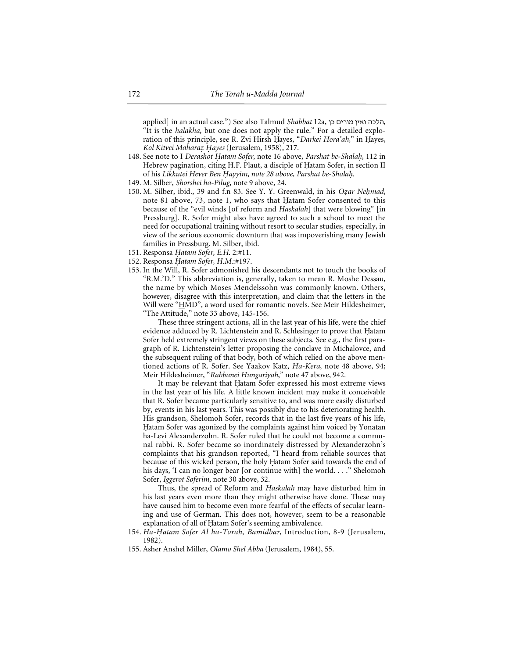applied] in an actual case.") See also Talmud *Shabbat* 12a, הלכה ואין מורים כן, "It is the *halakha*, but one does not apply the rule." For a detailed exploration of this principle, see R. Zvi Hirsh Hayes, "*Darkei Hora'ah*," in Hayes, *Kol Kitvei Maharaz. H. ayes* (Jerusalem, 1958), 217.

- 148. See note to I *Derashot Hatam Sofer*, note 16 above, *Parshat be-Shalah*, 112 in Hebrew pagination, citing H.F. Plaut, a disciple of Hatam Sofer, in section II of his *Likkutei Hever Ben Hayyim, note 28 above, Parshat be-Shalah.*
- 149. M. Silber, *Shorshei ha-Pilug,* note 9 above*,* 24.
- 150. M. Silber, ibid., 39 and f.n 83. See Y. Y. Greenwald, in his *Ozar Nehmad*, note 81 above, 73, note 1, who says that Hatam Sofer consented to this because of the "evil winds [of reform and *Haskalah*] that were blowing" [in Pressburg]. R. Sofer might also have agreed to such a school to meet the need for occupational training without resort to secular studies, especially, in view of the serious economic downturn that was impoverishing many Jewish families in Pressburg. M. Silber, ibid.
- 151. Responsa *H. atam Sofer, E.H*. 2:#11.
- 152. Responsa *H. atam Sofer, H.M*.:#197.
- 153. In the Will, R. Sofer admonished his descendants not to touch the books of "R.M.'D." This abbreviation is, generally, taken to mean R. Moshe Dessau, the name by which Moses Mendelssohn was commonly known. Others, however, disagree with this interpretation, and claim that the letters in the Will were "HMD", a word used for romantic novels. See Meir Hildesheimer, "The Attitude," note 33 above, 145-156.

These three stringent actions, all in the last year of his life, were the chief evidence adduced by R. Lichtenstein and R. Schlesinger to prove that Hatam Sofer held extremely stringent views on these subjects. See e.g., the first paragraph of R. Lichtenstein's letter proposing the conclave in Michalovce, and the subsequent ruling of that body, both of which relied on the above mentioned actions of R. Sofer. See Yaakov Katz, *Ha-Kera*, note 48 above, 94; Meir Hildesheimer, "*Rabbanei Hungariyah*," note 47 above, 942.

It may be relevant that Hatam Sofer expressed his most extreme views in the last year of his life. A little known incident may make it conceivable that R. Sofer became particularly sensitive to, and was more easily disturbed by, events in his last years. This was possibly due to his deteriorating health. His grandson, Shelomoh Sofer, records that in the last five years of his life, Hatam Sofer was agonized by the complaints against him voiced by Yonatan ha-Levi Alexanderzohn. R. Sofer ruled that he could not become a communal rabbi. R. Sofer became so inordinately distressed by Alexanderzohn's complaints that his grandson reported, "I heard from reliable sources that because of this wicked person, the holy Hatam Sofer said towards the end of his days, 'I can no longer bear [or continue with] the world. . . ." Shelomoh Sofer, *Iggerot Soferim*, note 30 above, 32.

Thus, the spread of Reform and *Haskalah* may have disturbed him in his last years even more than they might otherwise have done. These may have caused him to become even more fearful of the effects of secular learning and use of German. This does not, however, seem to be a reasonable explanation of all of Hatam Sofer's seeming ambivalence.

- 154. *Ha-H. atam Sofer Al ha-Torah, Bamidbar*, Introduction, 8-9 (Jerusalem, 1982).
- 155. Asher Anshel Miller, *Olamo Shel Abba* (Jerusalem, 1984), 55.